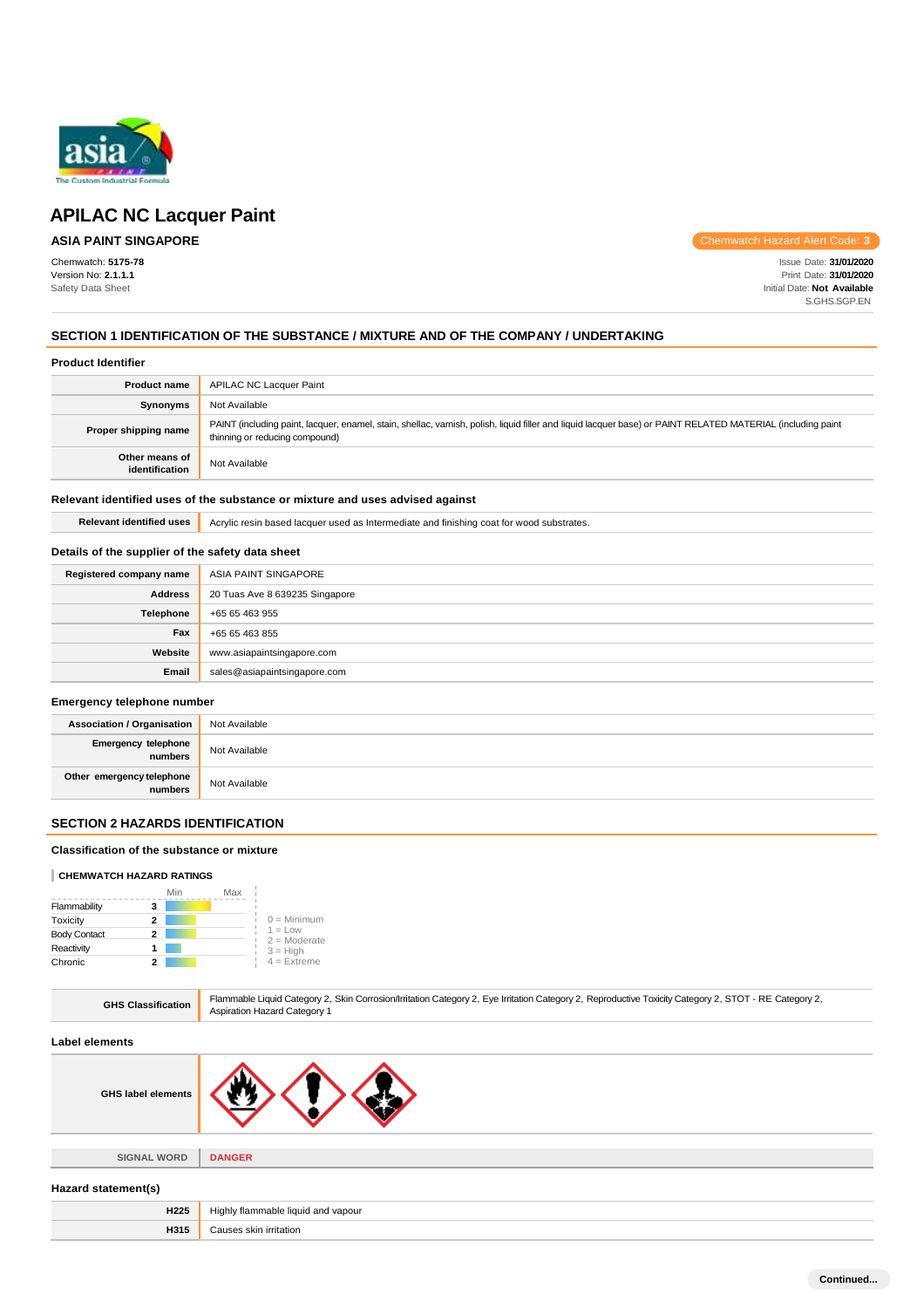

# **ASIA PAINT SINGAPORE**

Chemwatch: **5175-78** Version No: **2.1.1.1** Safety Data Sheet

Chemwatch Hazard Alert Code: **3**

Issue Date: **31/01/2020** Print Date: **31/01/2020** Initial Date: **Not Available** S.GHS.SGP.EN

### **SECTION 1 IDENTIFICATION OF THE SUBSTANCE / MIXTURE AND OF THE COMPANY / UNDERTAKING**

|  | <b>Product Identifier</b> |
|--|---------------------------|
|--|---------------------------|

| <b>Product name</b>              | APILAC NC Lacquer Paint                                                                                                                                                                       |
|----------------------------------|-----------------------------------------------------------------------------------------------------------------------------------------------------------------------------------------------|
| Synonyms                         | Not Available                                                                                                                                                                                 |
| Proper shipping name             | PAINT (including paint, lacquer, enamel, stain, shellac, varnish, polish, liquid filler and liquid lacquer base) or PAINT RELATED MATERIAL (including paint<br>thinning or reducing compound) |
| Other means of<br>identification | Not Available                                                                                                                                                                                 |

#### **Relevant identified uses of the substance or mixture and uses advised against**

**Relevant identified uses** Acrylic resin based lacquer used as Intermediate and finishing coat for wood substrates.

### **Details of the supplier of the safety data sheet**

| Registered company name | ASIA PAINT SINGAPORE           |
|-------------------------|--------------------------------|
| <b>Address</b>          | 20 Tuas Ave 8 639235 Singapore |
| Telephone               | +65 65 463 955                 |
| Fax                     | +65 65 463 855                 |
| Website                 | www.asiapaintsingapore.com     |
| Email                   | sales@asiapaintsingapore.com   |

#### **Emergency telephone number**

| <b>Association / Organisation</b>    | Not Available |
|--------------------------------------|---------------|
| Emergency telephone<br>numbers       | Not Available |
| Other emergency telephone<br>numbers | Not Available |

### **SECTION 2 HAZARDS IDENTIFICATION**

#### **Classification of the substance or mixture**

#### **CHEMWATCH HAZARD RATINGS**

|                     |   | Min | Max |                             |
|---------------------|---|-----|-----|-----------------------------|
| Flammability        | з |     |     |                             |
| Toxicity            | 2 |     |     | $0 =$ Minimum               |
| <b>Body Contact</b> | 2 |     |     | $1 = Low$<br>$2 =$ Moderate |
| Reactivity          |   |     |     | $3 = High$                  |
| Chronic             |   |     |     | $4 =$ Extreme               |

|  | <b>GHS Classification</b> | Flammable Liquid Category 2, Skin Corrosion/Irritation Category 2, Eye Irritation Category 2, Reproductive Toxicity Category 2, STOT - RE Category 2,<br><b>Aspiration Hazard Category 1</b> |
|--|---------------------------|----------------------------------------------------------------------------------------------------------------------------------------------------------------------------------------------|
|--|---------------------------|----------------------------------------------------------------------------------------------------------------------------------------------------------------------------------------------|

#### **Label elements**

| <b>GHS label elements</b> |  |  |
|---------------------------|--|--|
|                           |  |  |

**SIGNAL WORD DANGER**

#### **Hazard statement(s)**

| H <sub>225</sub> | Highly flammable liquid and vapour<br>$\sim$ $\sim$ |
|------------------|-----------------------------------------------------|
| H315             | skin irritation<br>501000                           |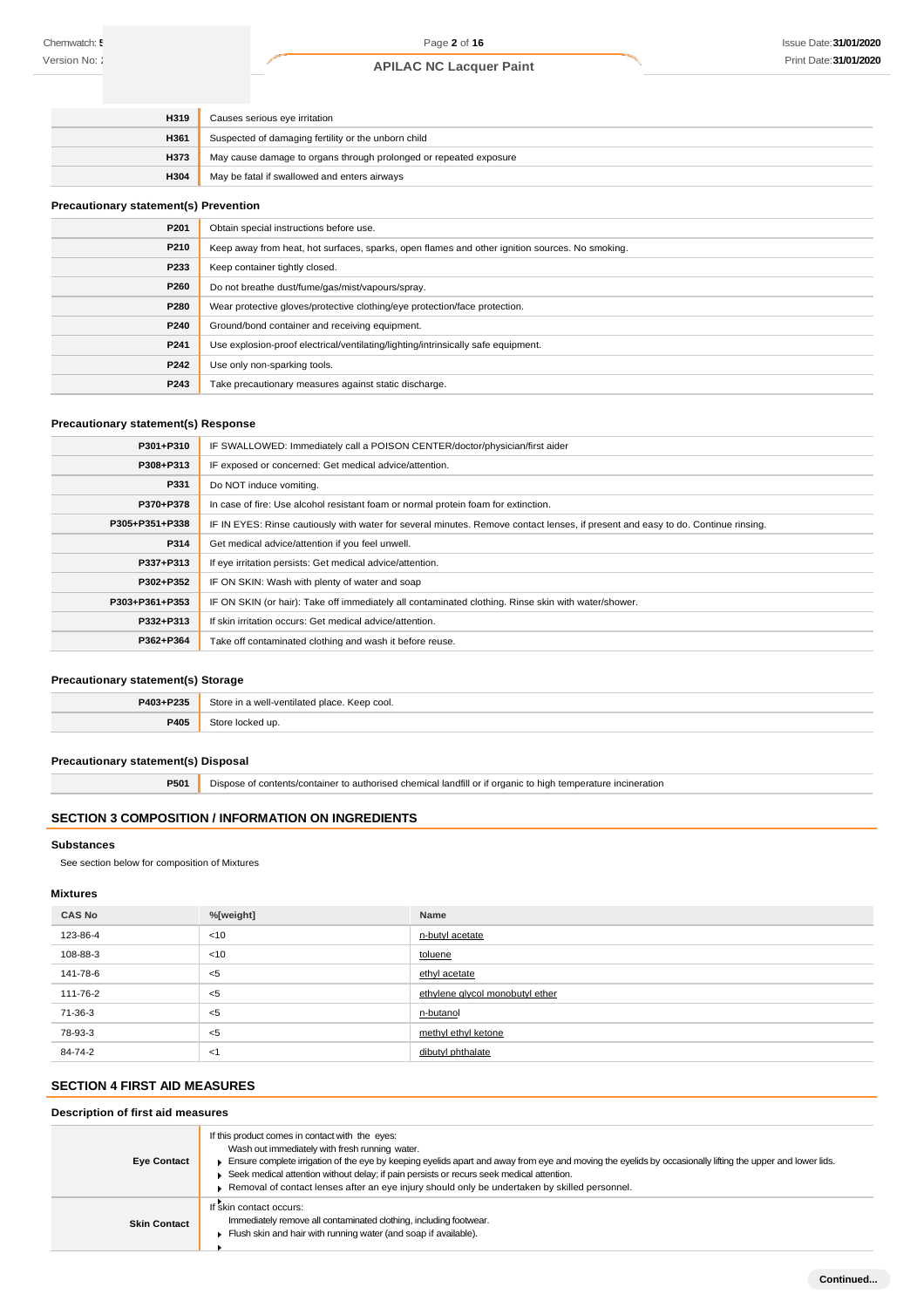| H319        | Causes serious eye irritation                                     |
|-------------|-------------------------------------------------------------------|
| <b>H361</b> | Suspected of damaging fertility or the unborn child               |
| H373        | May cause damage to organs through prolonged or repeated exposure |
| <b>H304</b> | May be fatal if swallowed and enters airways                      |

#### **Precautionary statement(s) Prevention**

| P201 | Obtain special instructions before use.                                                        |
|------|------------------------------------------------------------------------------------------------|
| P210 | Keep away from heat, hot surfaces, sparks, open flames and other ignition sources. No smoking. |
| P233 | Keep container tightly closed.                                                                 |
| P260 | Do not breathe dust/fume/gas/mist/vapours/spray.                                               |
| P280 | Wear protective gloves/protective clothing/eye protection/face protection.                     |
| P240 | Ground/bond container and receiving equipment.                                                 |
| P241 | Use explosion-proof electrical/ventilating/lighting/intrinsically safe equipment.              |
| P242 | Use only non-sparking tools.                                                                   |
| P243 | Take precautionary measures against static discharge.                                          |

### **Precautionary statement(s) Response**

| P301+P310      | IF SWALLOWED: Immediately call a POISON CENTER/doctor/physician/first aider                                                      |
|----------------|----------------------------------------------------------------------------------------------------------------------------------|
| P308+P313      | IF exposed or concerned: Get medical advice/attention.                                                                           |
| P331           | Do NOT induce vomiting.                                                                                                          |
| P370+P378      | In case of fire: Use alcohol resistant foam or normal protein foam for extinction.                                               |
| P305+P351+P338 | IF IN EYES: Rinse cautiously with water for several minutes. Remove contact lenses, if present and easy to do. Continue rinsing. |
| P314           | Get medical advice/attention if you feel unwell.                                                                                 |
| P337+P313      | If eye irritation persists: Get medical advice/attention.                                                                        |
| P302+P352      | IF ON SKIN: Wash with plenty of water and soap                                                                                   |
| P303+P361+P353 | IF ON SKIN (or hair): Take off immediately all contaminated clothing. Rinse skin with water/shower.                              |
| P332+P313      | If skin irritation occurs: Get medical advice/attention.                                                                         |
| P362+P364      | Take off contaminated clothing and wash it before reuse.                                                                         |

#### **Precautionary statement(s) Storage**

| P403+P235 | <b>Store</b><br>n a well-ventilated place. Keep cool. |
|-----------|-------------------------------------------------------|
| P405      | $C$ toro<br>cked up.                                  |

#### **Precautionary statement(s) Disposal**

**P501** Dispose of contents/container to authorised chemical landfill or if organic to high temperature incineration

### **SECTION 3 COMPOSITION / INFORMATION ON INGREDIENTS**

#### **Substances**

See section below for composition of Mixtures

#### **Mixtures**

| <b>CAS No</b> | %[weight] | Name                            |  |
|---------------|-----------|---------------------------------|--|
| 123-86-4      | < 10      | n-butyl acetate                 |  |
| 108-88-3      | <10       | toluene                         |  |
| 141-78-6      | $<$ 5     | ethyl acetate                   |  |
| 111-76-2      | <5        | ethylene glycol monobutyl ether |  |
| 71-36-3       | $<$ 5     | n-butanol                       |  |
| 78-93-3       | $<$ 5     | methyl ethyl ketone             |  |
| 84-74-2       | -≺1       | dibutyl phthalate               |  |

### **SECTION 4 FIRST AID MEASURES**

### **Description of first aid measures**

| <b>Eye Contact</b>  | If this product comes in contact with the eyes:<br>Wash out immediately with fresh running water.<br>Ensure complete irrigation of the eye by keeping eyelids apart and away from eye and moving the eyelids by occasionally lifting the upper and lower lids.<br>Seek medical attention without delay; if pain persists or recurs seek medical attention.<br>Removal of contact lenses after an eye injury should only be undertaken by skilled personnel. |
|---------------------|-------------------------------------------------------------------------------------------------------------------------------------------------------------------------------------------------------------------------------------------------------------------------------------------------------------------------------------------------------------------------------------------------------------------------------------------------------------|
| <b>Skin Contact</b> | If skin contact occurs:<br>Immediately remove all contaminated clothing, including footwear.<br>Flush skin and hair with running water (and soap if available).                                                                                                                                                                                                                                                                                             |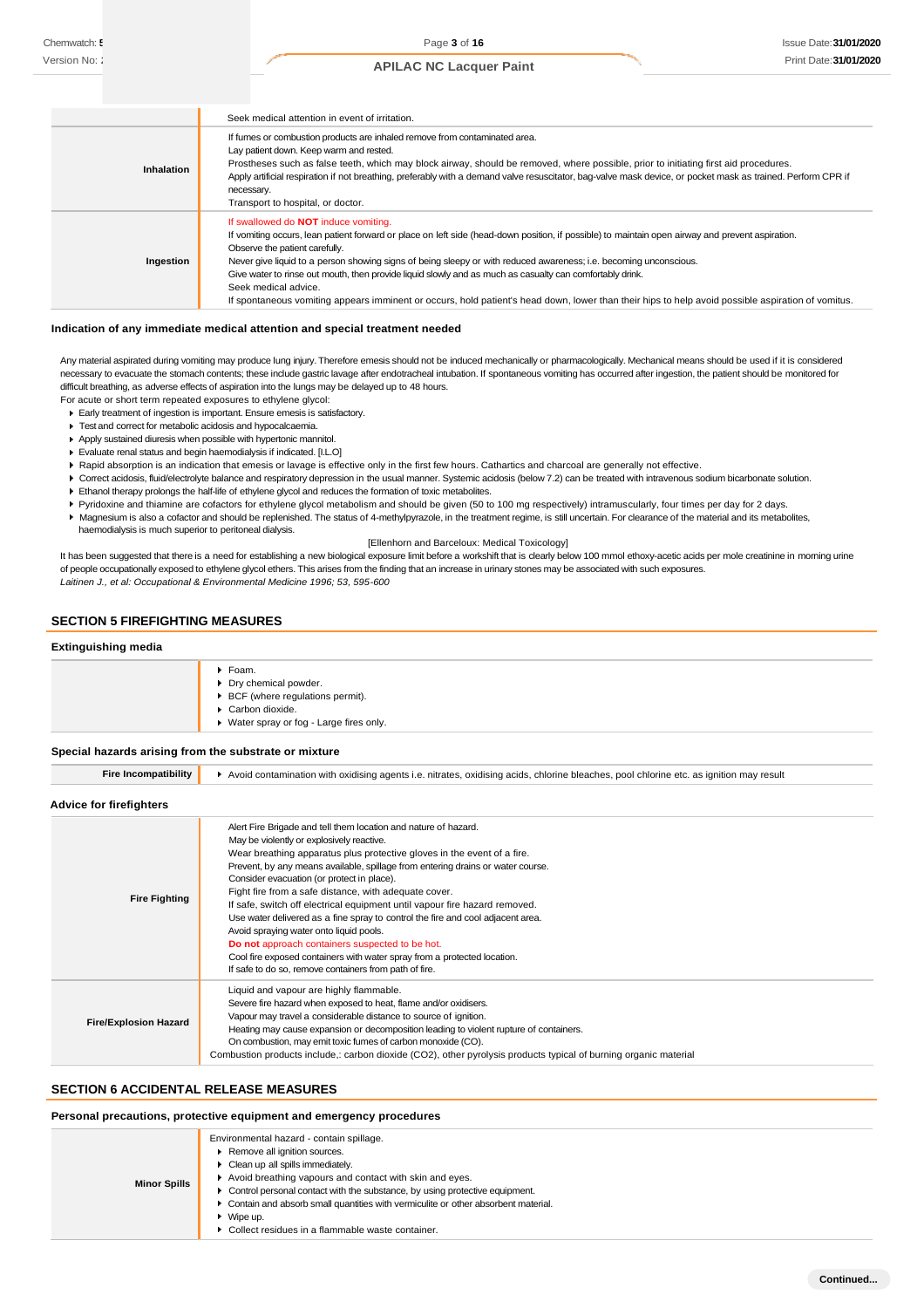|                   | Seek medical attention in event of irritation.                                                                                                                                                                                                                                                                                                                                                                                                                                                                                                                                                                                                  |
|-------------------|-------------------------------------------------------------------------------------------------------------------------------------------------------------------------------------------------------------------------------------------------------------------------------------------------------------------------------------------------------------------------------------------------------------------------------------------------------------------------------------------------------------------------------------------------------------------------------------------------------------------------------------------------|
| <b>Inhalation</b> | If fumes or combustion products are inhaled remove from contaminated area.<br>Lay patient down. Keep warm and rested.<br>Prostheses such as false teeth, which may block airway, should be removed, where possible, prior to initiating first aid procedures.<br>Apply artificial respiration if not breathing, preferably with a demand valve resuscitator, bag-valve mask device, or pocket mask as trained. Perform CPR if<br>necessary.<br>Transport to hospital, or doctor.                                                                                                                                                                |
| Ingestion         | If swallowed do <b>NOT</b> induce vomiting.<br>If vomiting occurs, lean patient forward or place on left side (head-down position, if possible) to maintain open airway and prevent aspiration.<br>Observe the patient carefully.<br>Never give liquid to a person showing signs of being sleepy or with reduced awareness; i.e. becoming unconscious.<br>Give water to rinse out mouth, then provide liquid slowly and as much as casualty can comfortably drink.<br>Seek medical advice.<br>If spontaneous vomiting appears imminent or occurs, hold patient's head down, lower than their hips to help avoid possible aspiration of vomitus. |

#### **Indication of any immediate medical attention and special treatment needed**

Any material aspirated during vomiting may produce lung injury. Therefore emesis should not be induced mechanically or pharmacologically. Mechanical means should be used if it is considered necessary to evacuate the stomach contents; these include gastric lavage after endotracheal intubation. If spontaneous vomiting has occurred after ingestion, the patient should be monitored for difficult breathing, as adverse effects of aspiration into the lungs may be delayed up to 48 hours. For acute or short term repeated exposures to ethylene glycol:

- Early treatment of ingestion is important. Ensure emesis is satisfactory.
- Test and correct for metabolic acidosis and hypocalcaemia.
- Apply sustained diuresis when possible with hypertonic mannitol.
- Evaluate renal status and begin haemodialysis if indicated. [I.L.O]
- ▶ Rapid absorption is an indication that emesis or lavage is effective only in the first few hours. Cathartics and charcoal are generally not effective.
- ▶ Correct acidosis, fluid/electrolyte balance and respiratory depression in the usual manner. Systemic acidosis (below 7.2) can be treated with intravenous sodium bicarbonate solution.
- Ethanol therapy prolongs the half-life of ethylene glycol and reduces the formation of toxic metabolites.
- Pyridoxine and thiamine are cofactors for ethylene glycol metabolism and should be given (50 to 100 mg respectively) intramuscularly, four times per day for 2 days.
- Magnesium is also a cofactor and should be replenished. The status of 4-methylpyrazole, in the treatment regime, is still uncertain. For clearance of the material and its metabolites, haemodialysis is much superior to peritoneal dialysis.

[Ellenhorn and Barceloux: Medical Toxicology]

It has been suggested that there is a need for establishing a new biological exposure limit before a workshift that is clearly below 100 mmol ethoxy-acetic acids per mole creatinine in morning urine of people occupationally exposed to ethylene glycol ethers. This arises from the finding that an increase in urinary stones may be associated with such exposures. *Laitinen J., et al: Occupational & Environmental Medicine 1996; 53, 595-600*

### **SECTION 5 FIREFIGHTING MEASURES**

#### **Extinguishing media**

| $\blacktriangleright$ Foam.<br>Dry chemical powder.<br>$\triangleright$ BCF (where regulations permit).<br>Carbon dioxide.<br>▶ Water spray or fog - Large fires only. |
|------------------------------------------------------------------------------------------------------------------------------------------------------------------------|
|------------------------------------------------------------------------------------------------------------------------------------------------------------------------|

#### **Special hazards arising from the substrate or mixture**

| <b>Fire Incompatibility</b>  | Avoid contamination with oxidising agents i.e. nitrates, oxidising acids, chlorine bleaches, pool chlorine etc. as ignition may result                                                                                                                                                                                                                                                                                                                                                                                                                                                                                                                                                                                                                                                 |  |  |  |
|------------------------------|----------------------------------------------------------------------------------------------------------------------------------------------------------------------------------------------------------------------------------------------------------------------------------------------------------------------------------------------------------------------------------------------------------------------------------------------------------------------------------------------------------------------------------------------------------------------------------------------------------------------------------------------------------------------------------------------------------------------------------------------------------------------------------------|--|--|--|
| Advice for firefighters      |                                                                                                                                                                                                                                                                                                                                                                                                                                                                                                                                                                                                                                                                                                                                                                                        |  |  |  |
| <b>Fire Fighting</b>         | Alert Fire Brigade and tell them location and nature of hazard.<br>May be violently or explosively reactive.<br>Wear breathing apparatus plus protective gloves in the event of a fire.<br>Prevent, by any means available, spillage from entering drains or water course.<br>Consider evacuation (or protect in place).<br>Fight fire from a safe distance, with adequate cover.<br>If safe, switch off electrical equipment until vapour fire hazard removed.<br>Use water delivered as a fine spray to control the fire and cool adjacent area.<br>Avoid spraying water onto liquid pools.<br>Do not approach containers suspected to be hot.<br>Cool fire exposed containers with water spray from a protected location.<br>If safe to do so, remove containers from path of fire. |  |  |  |
| <b>Fire/Explosion Hazard</b> | Liquid and vapour are highly flammable.<br>Severe fire hazard when exposed to heat, flame and/or oxidisers.<br>Vapour may travel a considerable distance to source of ignition.<br>Heating may cause expansion or decomposition leading to violent rupture of containers.<br>On combustion, may emit toxic fumes of carbon monoxide (CO).<br>Combustion products include,: carbon dioxide (CO2), other pyrolysis products typical of burning organic material                                                                                                                                                                                                                                                                                                                          |  |  |  |

#### **SECTION 6 ACCIDENTAL RELEASE MEASURES**

#### **Personal precautions, protective equipment and emergency procedures**

| <b>Minor Spills</b> | Environmental hazard - contain spillage.<br>Remove all ignition sources.<br>$\blacktriangleright$ Clean up all spills immediately.<br>Avoid breathing vapours and contact with skin and eyes.<br>• Control personal contact with the substance, by using protective equipment.<br>• Contain and absorb small quantities with vermiculite or other absorbent material.<br>$\bullet$ Wipe up.<br>▶ Collect residues in a flammable waste container. |
|---------------------|---------------------------------------------------------------------------------------------------------------------------------------------------------------------------------------------------------------------------------------------------------------------------------------------------------------------------------------------------------------------------------------------------------------------------------------------------|
|---------------------|---------------------------------------------------------------------------------------------------------------------------------------------------------------------------------------------------------------------------------------------------------------------------------------------------------------------------------------------------------------------------------------------------------------------------------------------------|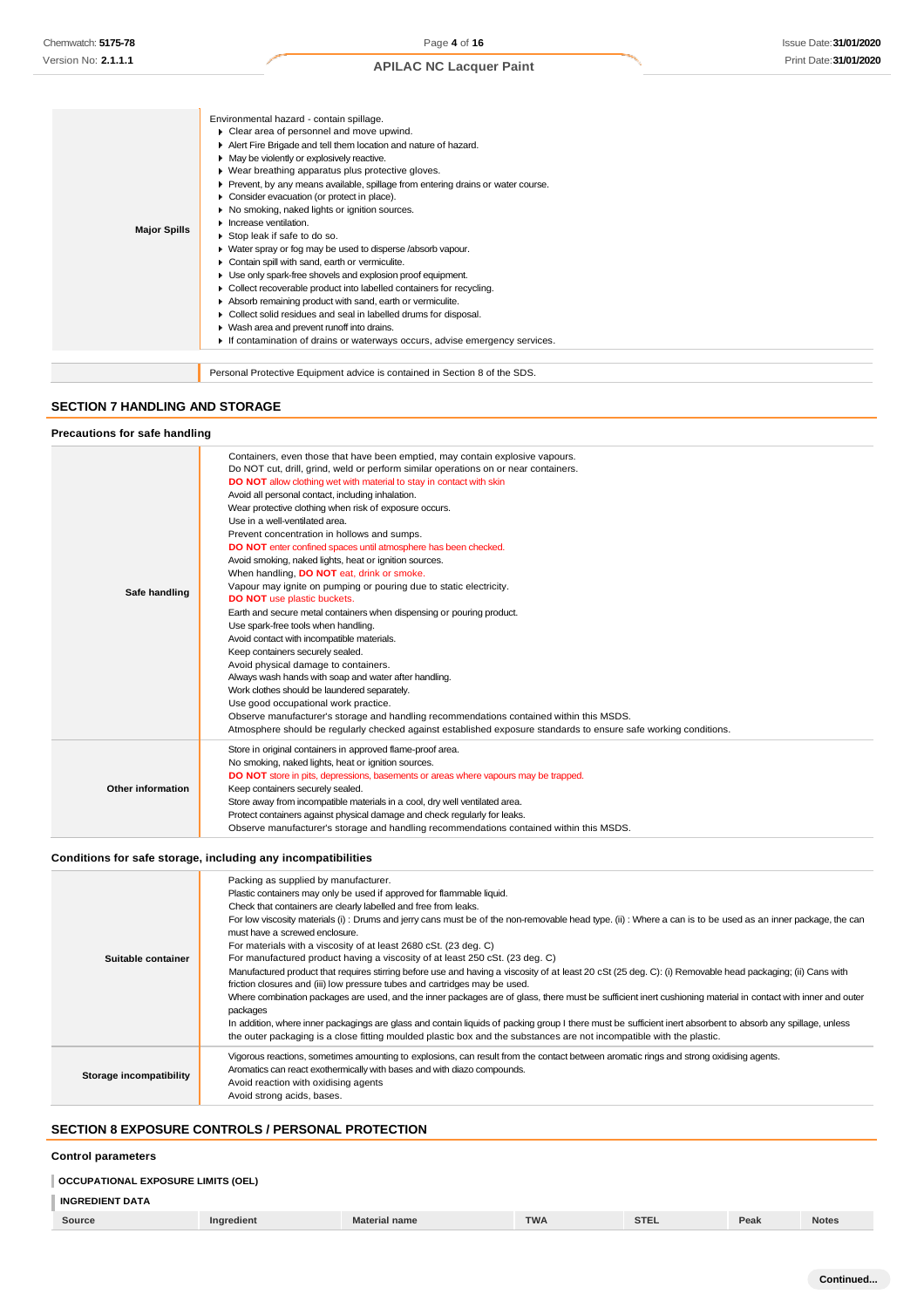| <b>Major Spills</b> | Environmental hazard - contain spillage.<br>Clear area of personnel and move upwind.<br>Alert Fire Brigade and tell them location and nature of hazard.<br>• May be violently or explosively reactive.<br>▶ Wear breathing apparatus plus protective gloves.<br>▶ Prevent, by any means available, spillage from entering drains or water course.<br>Consider evacuation (or protect in place).<br>No smoking, naked lights or ignition sources.<br>Increase ventilation.<br>Stop leak if safe to do so.<br>• Water spray or fog may be used to disperse /absorb vapour.<br>Contain spill with sand, earth or vermiculite.<br>Use only spark-free shovels and explosion proof equipment.<br>▶ Collect recoverable product into labelled containers for recycling.<br>Absorb remaining product with sand, earth or vermiculite.<br>Collect solid residues and seal in labelled drums for disposal.<br>▶ Wash area and prevent runoff into drains.<br>If contamination of drains or waterways occurs, advise emergency services. |
|---------------------|--------------------------------------------------------------------------------------------------------------------------------------------------------------------------------------------------------------------------------------------------------------------------------------------------------------------------------------------------------------------------------------------------------------------------------------------------------------------------------------------------------------------------------------------------------------------------------------------------------------------------------------------------------------------------------------------------------------------------------------------------------------------------------------------------------------------------------------------------------------------------------------------------------------------------------------------------------------------------------------------------------------------------------|
|                     | Personal Protective Equipment advice is contained in Section 8 of the SDS.                                                                                                                                                                                                                                                                                                                                                                                                                                                                                                                                                                                                                                                                                                                                                                                                                                                                                                                                                     |

### **SECTION 7 HANDLING AND STORAGE**

#### **Precautions for safe handling**

| Safe handling     | Containers, even those that have been emptied, may contain explosive vapours.<br>Do NOT cut, drill, grind, weld or perform similar operations on or near containers.<br><b>DO NOT</b> allow clothing wet with material to stay in contact with skin<br>Avoid all personal contact, including inhalation.<br>Wear protective clothing when risk of exposure occurs.<br>Use in a well-ventilated area.<br>Prevent concentration in hollows and sumps.<br>DO NOT enter confined spaces until atmosphere has been checked.<br>Avoid smoking, naked lights, heat or ignition sources.<br>When handling, <b>DO NOT</b> eat, drink or smoke.<br>Vapour may ignite on pumping or pouring due to static electricity.<br><b>DO NOT</b> use plastic buckets.<br>Earth and secure metal containers when dispensing or pouring product.<br>Use spark-free tools when handling.<br>Avoid contact with incompatible materials.<br>Keep containers securely sealed.<br>Avoid physical damage to containers.<br>Always wash hands with soap and water after handling.<br>Work clothes should be laundered separately.<br>Use good occupational work practice. |
|-------------------|----------------------------------------------------------------------------------------------------------------------------------------------------------------------------------------------------------------------------------------------------------------------------------------------------------------------------------------------------------------------------------------------------------------------------------------------------------------------------------------------------------------------------------------------------------------------------------------------------------------------------------------------------------------------------------------------------------------------------------------------------------------------------------------------------------------------------------------------------------------------------------------------------------------------------------------------------------------------------------------------------------------------------------------------------------------------------------------------------------------------------------------------|
|                   | Observe manufacturer's storage and handling recommendations contained within this MSDS.                                                                                                                                                                                                                                                                                                                                                                                                                                                                                                                                                                                                                                                                                                                                                                                                                                                                                                                                                                                                                                                      |
|                   | Atmosphere should be regularly checked against established exposure standards to ensure safe working conditions.                                                                                                                                                                                                                                                                                                                                                                                                                                                                                                                                                                                                                                                                                                                                                                                                                                                                                                                                                                                                                             |
| Other information | Store in original containers in approved flame-proof area.<br>No smoking, naked lights, heat or ignition sources.<br>DO NOT store in pits, depressions, basements or areas where vapours may be trapped.<br>Keep containers securely sealed.<br>Store away from incompatible materials in a cool, dry well ventilated area.                                                                                                                                                                                                                                                                                                                                                                                                                                                                                                                                                                                                                                                                                                                                                                                                                  |
|                   | Protect containers against physical damage and check regularly for leaks.<br>Observe manufacturer's storage and handling recommendations contained within this MSDS.                                                                                                                                                                                                                                                                                                                                                                                                                                                                                                                                                                                                                                                                                                                                                                                                                                                                                                                                                                         |

### **Conditions for safe storage, including any incompatibilities**

| Suitable container      | Packing as supplied by manufacturer.<br>Plastic containers may only be used if approved for flammable liquid.<br>Check that containers are clearly labelled and free from leaks.<br>For low viscosity materials (i): Drums and jerry cans must be of the non-removable head type. (ii): Where a can is to be used as an inner package, the can<br>must have a screwed enclosure.<br>For materials with a viscosity of at least 2680 cSt. (23 deg. C)<br>For manufactured product having a viscosity of at least 250 cSt. (23 deg. C)<br>Manufactured product that requires stirring before use and having a viscosity of at least 20 cSt (25 deg. C): (i) Removable head packaging; (ii) Cans with<br>friction closures and (iii) low pressure tubes and cartridges may be used.<br>Where combination packages are used, and the inner packages are of glass, there must be sufficient inert cushioning material in contact with inner and outer<br>packages<br>In addition, where inner packagings are glass and contain liquids of packing group I there must be sufficient inert absorbent to absorb any spillage, unless<br>the outer packaging is a close fitting moulded plastic box and the substances are not incompatible with the plastic. |
|-------------------------|------------------------------------------------------------------------------------------------------------------------------------------------------------------------------------------------------------------------------------------------------------------------------------------------------------------------------------------------------------------------------------------------------------------------------------------------------------------------------------------------------------------------------------------------------------------------------------------------------------------------------------------------------------------------------------------------------------------------------------------------------------------------------------------------------------------------------------------------------------------------------------------------------------------------------------------------------------------------------------------------------------------------------------------------------------------------------------------------------------------------------------------------------------------------------------------------------------------------------------------------------|
| Storage incompatibility | Vigorous reactions, sometimes amounting to explosions, can result from the contact between aromatic rings and strong oxidising agents.<br>Aromatics can react exothermically with bases and with diazo compounds.<br>Avoid reaction with oxidising agents<br>Avoid strong acids, bases.                                                                                                                                                                                                                                                                                                                                                                                                                                                                                                                                                                                                                                                                                                                                                                                                                                                                                                                                                              |

### **SECTION 8 EXPOSURE CONTROLS / PERSONAL PROTECTION**

#### **Control parameters**

### **OCCUPATIONAL EXPOSURE LIMITS (OEL)**

# **INGREDIENT DATA**

|  | Source | <b>Ingredient</b> | <b>Material name</b> | <b>TWA</b> | 27.5<br>- SIL. | Peak | <b>Notes</b> |
|--|--------|-------------------|----------------------|------------|----------------|------|--------------|
|--|--------|-------------------|----------------------|------------|----------------|------|--------------|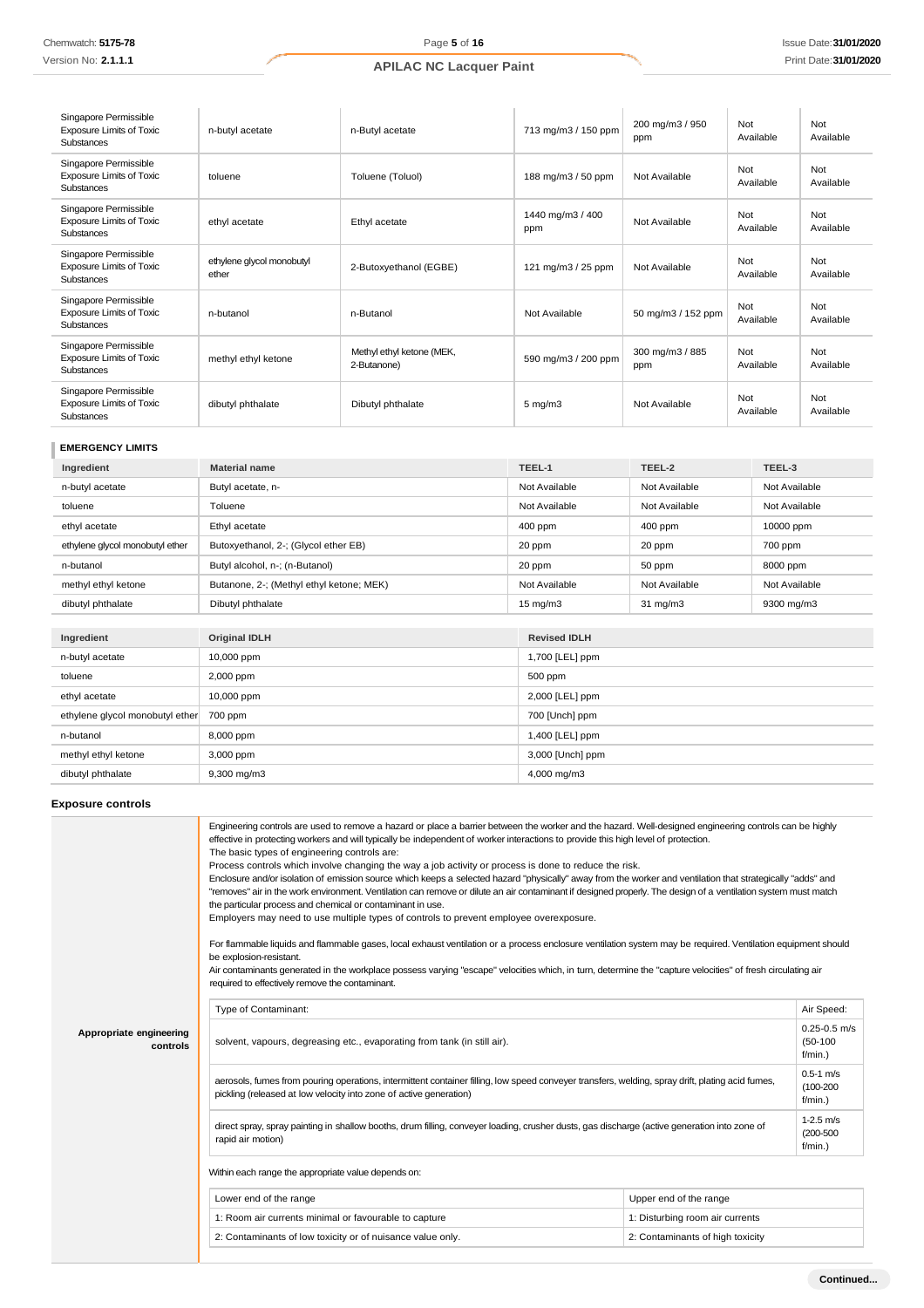| Singapore Permissible<br><b>Exposure Limits of Toxic</b><br><b>Substances</b> | n-butyl acetate                    | n-Butyl acetate                          | 713 mg/m3 / 150 ppm     | 200 mg/m3 / 950<br>ppm | Not<br>Available | Not<br>Available |
|-------------------------------------------------------------------------------|------------------------------------|------------------------------------------|-------------------------|------------------------|------------------|------------------|
| Singapore Permissible<br><b>Exposure Limits of Toxic</b><br>Substances        | toluene                            | Toluene (Toluol)                         | 188 mg/m3 / 50 ppm      | Not Available          | Not<br>Available | Not<br>Available |
| Singapore Permissible<br><b>Exposure Limits of Toxic</b><br>Substances        | ethyl acetate                      | Ethyl acetate                            | 1440 mg/m3 / 400<br>ppm | Not Available          | Not<br>Available | Not<br>Available |
| Singapore Permissible<br><b>Exposure Limits of Toxic</b><br>Substances        | ethylene glycol monobutyl<br>ether | 2-Butoxyethanol (EGBE)                   | 121 mg/m3 / 25 ppm      | Not Available          | Not<br>Available | Not<br>Available |
| Singapore Permissible<br><b>Exposure Limits of Toxic</b><br>Substances        | n-butanol                          | n-Butanol                                | Not Available           | 50 mg/m3 / 152 ppm     | Not<br>Available | Not<br>Available |
| Singapore Permissible<br><b>Exposure Limits of Toxic</b><br>Substances        | methyl ethyl ketone                | Methyl ethyl ketone (MEK,<br>2-Butanone) | 590 mg/m3 / 200 ppm     | 300 mg/m3 / 885<br>ppm | Not<br>Available | Not<br>Available |
| Singapore Permissible<br><b>Exposure Limits of Toxic</b><br>Substances        | dibutyl phthalate                  | Dibutyl phthalate                        | $5 \text{ mg/m}$ 3      | Not Available          | Not<br>Available | Not<br>Available |

# **EMERGENCY LIMITS**

| Ingredient                      | <b>Material name</b>                     | TEEL-1            | TEEL-2            | TEEL-3        |
|---------------------------------|------------------------------------------|-------------------|-------------------|---------------|
| n-butyl acetate                 | Butyl acetate, n-                        | Not Available     | Not Available     | Not Available |
| toluene                         | Toluene                                  | Not Available     | Not Available     | Not Available |
| ethyl acetate                   | Ethyl acetate                            | $400$ ppm         | $400$ ppm         | 10000 ppm     |
| ethylene glycol monobutyl ether | Butoxyethanol, 2-; (Glycol ether EB)     | 20 ppm            | 20 ppm            | 700 ppm       |
| n-butanol                       | Butyl alcohol, n-; (n-Butanol)           | 20 ppm            | 50 ppm            | 8000 ppm      |
| methyl ethyl ketone             | Butanone, 2-; (Methyl ethyl ketone; MEK) | Not Available     | Not Available     | Not Available |
| dibutyl phthalate               | Dibutyl phthalate                        | $15 \text{ mg/m}$ | $31 \text{ mg/m}$ | 9300 mg/m3    |

| Ingredient                      | <b>Original IDLH</b> | <b>Revised IDLH</b> |
|---------------------------------|----------------------|---------------------|
| n-butyl acetate                 | 10,000 ppm           | 1,700 [LEL] ppm     |
| toluene                         | 2,000 ppm            | 500 ppm             |
| ethyl acetate                   | 10,000 ppm           | 2,000 [LEL] ppm     |
| ethylene glycol monobutyl ether | 700 ppm              | 700 [Unch] ppm      |
| n-butanol                       | 8,000 ppm            | 1,400 [LEL] ppm     |
| methyl ethyl ketone             | 3,000 ppm            | 3,000 [Unch] ppm    |
| dibutyl phthalate               | 9,300 mg/m3          | 4,000 mg/m3         |

### **Exposure controls**

|                                     | Engineering controls are used to remove a hazard or place a barrier between the worker and the hazard. Well-designed engineering controls can be highly<br>effective in protecting workers and will typically be independent of worker interactions to provide this high level of protection.<br>The basic types of engineering controls are:<br>Process controls which involve changing the way a job activity or process is done to reduce the risk.<br>Enclosure and/or isolation of emission source which keeps a selected hazard "physically" away from the worker and ventilation that strategically "adds" and<br>"removes" air in the work environment. Ventilation can remove or dilute an air contaminant if designed properly. The design of a ventilation system must match<br>the particular process and chemical or contaminant in use.<br>Employers may need to use multiple types of controls to prevent employee overexposure.<br>For flammable liquids and flammable gases, local exhaust ventilation or a process enclosure ventilation system may be required. Ventilation equipment should<br>be explosion-resistant.<br>Air contaminants generated in the workplace possess varying "escape" velocities which, in turn, determine the "capture velocities" of fresh circulating air<br>required to effectively remove the contaminant. |                                 |                                              |  |
|-------------------------------------|--------------------------------------------------------------------------------------------------------------------------------------------------------------------------------------------------------------------------------------------------------------------------------------------------------------------------------------------------------------------------------------------------------------------------------------------------------------------------------------------------------------------------------------------------------------------------------------------------------------------------------------------------------------------------------------------------------------------------------------------------------------------------------------------------------------------------------------------------------------------------------------------------------------------------------------------------------------------------------------------------------------------------------------------------------------------------------------------------------------------------------------------------------------------------------------------------------------------------------------------------------------------------------------------------------------------------------------------------------------|---------------------------------|----------------------------------------------|--|
|                                     | Type of Contaminant:                                                                                                                                                                                                                                                                                                                                                                                                                                                                                                                                                                                                                                                                                                                                                                                                                                                                                                                                                                                                                                                                                                                                                                                                                                                                                                                                         |                                 | Air Speed:                                   |  |
| Appropriate engineering<br>controls | solvent, vapours, degreasing etc., evaporating from tank (in still air).                                                                                                                                                                                                                                                                                                                                                                                                                                                                                                                                                                                                                                                                                                                                                                                                                                                                                                                                                                                                                                                                                                                                                                                                                                                                                     |                                 | $0.25 - 0.5$ m/s<br>$(50-100)$<br>$f/min.$ ) |  |
|                                     | aerosols, fumes from pouring operations, intermittent container filling, low speed conveyer transfers, welding, spray drift, plating acid fumes,<br>pickling (released at low velocity into zone of active generation)                                                                                                                                                                                                                                                                                                                                                                                                                                                                                                                                                                                                                                                                                                                                                                                                                                                                                                                                                                                                                                                                                                                                       |                                 | $0.5 - 1$ m/s<br>$(100-200)$<br>$f/min.$ )   |  |
|                                     | direct spray, spray painting in shallow booths, drum filling, conveyer loading, crusher dusts, gas discharge (active generation into zone of<br>rapid air motion)                                                                                                                                                                                                                                                                                                                                                                                                                                                                                                                                                                                                                                                                                                                                                                                                                                                                                                                                                                                                                                                                                                                                                                                            |                                 |                                              |  |
|                                     | Within each range the appropriate value depends on:                                                                                                                                                                                                                                                                                                                                                                                                                                                                                                                                                                                                                                                                                                                                                                                                                                                                                                                                                                                                                                                                                                                                                                                                                                                                                                          |                                 |                                              |  |
|                                     | Lower end of the range                                                                                                                                                                                                                                                                                                                                                                                                                                                                                                                                                                                                                                                                                                                                                                                                                                                                                                                                                                                                                                                                                                                                                                                                                                                                                                                                       | Upper end of the range          |                                              |  |
|                                     | 1: Room air currents minimal or favourable to capture                                                                                                                                                                                                                                                                                                                                                                                                                                                                                                                                                                                                                                                                                                                                                                                                                                                                                                                                                                                                                                                                                                                                                                                                                                                                                                        | 1: Disturbing room air currents |                                              |  |
|                                     | 2: Contaminants of low toxicity or of nuisance value only.<br>2: Contaminants of high toxicity                                                                                                                                                                                                                                                                                                                                                                                                                                                                                                                                                                                                                                                                                                                                                                                                                                                                                                                                                                                                                                                                                                                                                                                                                                                               |                                 |                                              |  |
|                                     |                                                                                                                                                                                                                                                                                                                                                                                                                                                                                                                                                                                                                                                                                                                                                                                                                                                                                                                                                                                                                                                                                                                                                                                                                                                                                                                                                              |                                 |                                              |  |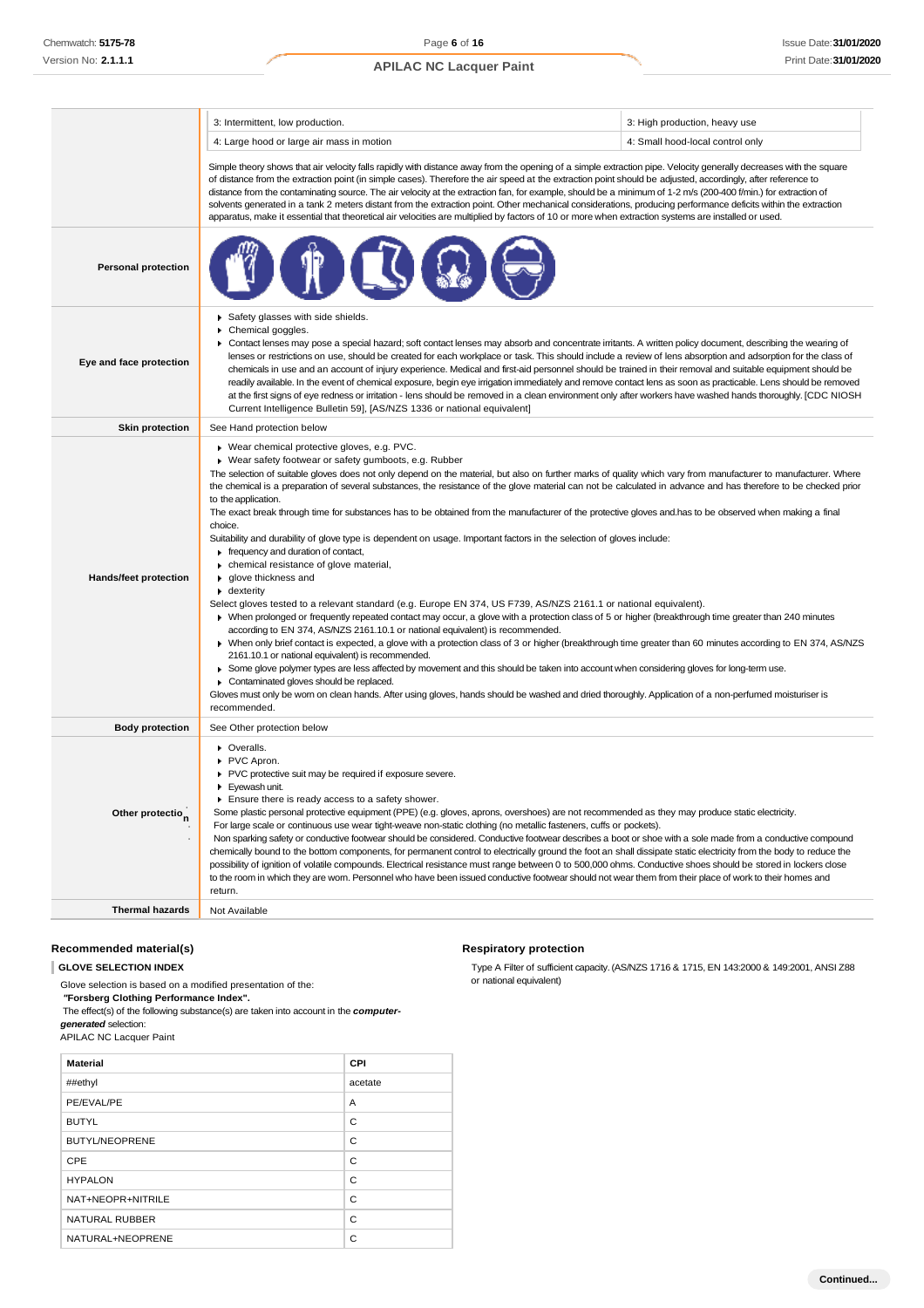|                              | 3: Intermittent, low production.                                                                                                                                                                                                                                                                                                                                                                                                                                                                                                                                                                                                                                                                                                                                                                                                                                                                                                                                                                                                                                                                                                                                                                                                                                                                                                                                                                                                                                                                                                                                                                                                                                                                                                                                                                                                                   | 3: High production, heavy use    |  |
|------------------------------|----------------------------------------------------------------------------------------------------------------------------------------------------------------------------------------------------------------------------------------------------------------------------------------------------------------------------------------------------------------------------------------------------------------------------------------------------------------------------------------------------------------------------------------------------------------------------------------------------------------------------------------------------------------------------------------------------------------------------------------------------------------------------------------------------------------------------------------------------------------------------------------------------------------------------------------------------------------------------------------------------------------------------------------------------------------------------------------------------------------------------------------------------------------------------------------------------------------------------------------------------------------------------------------------------------------------------------------------------------------------------------------------------------------------------------------------------------------------------------------------------------------------------------------------------------------------------------------------------------------------------------------------------------------------------------------------------------------------------------------------------------------------------------------------------------------------------------------------------|----------------------------------|--|
|                              | 4: Large hood or large air mass in motion                                                                                                                                                                                                                                                                                                                                                                                                                                                                                                                                                                                                                                                                                                                                                                                                                                                                                                                                                                                                                                                                                                                                                                                                                                                                                                                                                                                                                                                                                                                                                                                                                                                                                                                                                                                                          | 4: Small hood-local control only |  |
|                              | Simple theory shows that air velocity falls rapidly with distance away from the opening of a simple extraction pipe. Velocity generally decreases with the square<br>of distance from the extraction point (in simple cases). Therefore the air speed at the extraction point should be adjusted, accordingly, after reference to<br>distance from the contaminating source. The air velocity at the extraction fan, for example, should be a minimum of 1-2 m/s (200-400 f/min.) for extraction of<br>solvents generated in a tank 2 meters distant from the extraction point. Other mechanical considerations, producing performance deficits within the extraction<br>apparatus, make it essential that theoretical air velocities are multiplied by factors of 10 or more when extraction systems are installed or used.                                                                                                                                                                                                                                                                                                                                                                                                                                                                                                                                                                                                                                                                                                                                                                                                                                                                                                                                                                                                                       |                                  |  |
| <b>Personal protection</b>   |                                                                                                                                                                                                                                                                                                                                                                                                                                                                                                                                                                                                                                                                                                                                                                                                                                                                                                                                                                                                                                                                                                                                                                                                                                                                                                                                                                                                                                                                                                                                                                                                                                                                                                                                                                                                                                                    |                                  |  |
| Eye and face protection      | Safety glasses with side shields.<br>Chemical goggles.<br>▶ Contact lenses may pose a special hazard; soft contact lenses may absorb and concentrate irritants. A written policy document, describing the wearing of<br>lenses or restrictions on use, should be created for each workplace or task. This should include a review of lens absorption and adsorption for the class of<br>chemicals in use and an account of injury experience. Medical and first-aid personnel should be trained in their removal and suitable equipment should be<br>readily available. In the event of chemical exposure, begin eye irrigation immediately and remove contact lens as soon as practicable. Lens should be removed<br>at the first signs of eye redness or irritation - lens should be removed in a clean environment only after workers have washed hands thoroughly. [CDC NIOSH<br>Current Intelligence Bulletin 59], [AS/NZS 1336 or national equivalent]                                                                                                                                                                                                                                                                                                                                                                                                                                                                                                                                                                                                                                                                                                                                                                                                                                                                                       |                                  |  |
| <b>Skin protection</b>       | See Hand protection below                                                                                                                                                                                                                                                                                                                                                                                                                                                                                                                                                                                                                                                                                                                                                                                                                                                                                                                                                                                                                                                                                                                                                                                                                                                                                                                                                                                                                                                                                                                                                                                                                                                                                                                                                                                                                          |                                  |  |
| Hands/feet protection        | ▶ Wear chemical protective gloves, e.g. PVC.<br>▶ Wear safety footwear or safety gumboots, e.g. Rubber<br>The selection of suitable gloves does not only depend on the material, but also on further marks of quality which vary from manufacturer to manufacturer. Where<br>the chemical is a preparation of several substances, the resistance of the glove material can not be calculated in advance and has therefore to be checked prior<br>to the application.<br>The exact break through time for substances has to be obtained from the manufacturer of the protective gloves and has to be observed when making a final<br>choice.<br>Suitability and durability of glove type is dependent on usage. Important factors in the selection of gloves include:<br>Frequency and duration of contact,<br>• chemical resistance of glove material,<br>▶ qlove thickness and<br>• dexterity<br>Select gloves tested to a relevant standard (e.g. Europe EN 374, US F739, AS/NZS 2161.1 or national equivalent).<br>> When prolonged or frequently repeated contact may occur, a glove with a protection class of 5 or higher (breakthrough time greater than 240 minutes<br>according to EN 374, AS/NZS 2161.10.1 or national equivalent) is recommended.<br>▶ When only brief contact is expected, a glove with a protection class of 3 or higher (breakthrough time greater than 60 minutes according to EN 374, AS/NZS<br>2161.10.1 or national equivalent) is recommended.<br>▶ Some glove polymer types are less affected by movement and this should be taken into account when considering gloves for long-term use.<br>Contaminated gloves should be replaced.<br>Gloves must only be wom on clean hands. After using gloves, hands should be washed and dried thoroughly. Application of a non-perfumed moisturiser is<br>recommended. |                                  |  |
| <b>Body protection</b>       | See Other protection below                                                                                                                                                                                                                                                                                                                                                                                                                                                                                                                                                                                                                                                                                                                                                                                                                                                                                                                                                                                                                                                                                                                                                                                                                                                                                                                                                                                                                                                                                                                                                                                                                                                                                                                                                                                                                         |                                  |  |
| Other protectio <sub>n</sub> | • Overalls.<br>PVC Apron.<br>PVC protective suit may be required if exposure severe.<br>Eyewash unit.<br>Ensure there is ready access to a safety shower.<br>Some plastic personal protective equipment (PPE) (e.g. gloves, aprons, overshoes) are not recommended as they may produce static electricity.<br>For large scale or continuous use wear tight-weave non-static clothing (no metallic fasteners, cuffs or pockets).<br>Non sparking safety or conductive footwear should be considered. Conductive footwear describes a boot or shoe with a sole made from a conductive compound<br>chemically bound to the bottom components, for permanent control to electrically ground the foot an shall dissipate static electricity from the body to reduce the<br>possibility of ignition of volatile compounds. Electrical resistance must range between 0 to 500,000 ohms. Conductive shoes should be stored in lockers close<br>to the room in which they are worn. Personnel who have been issued conductive footwear should not wear them from their place of work to their homes and<br>return.                                                                                                                                                                                                                                                                                                                                                                                                                                                                                                                                                                                                                                                                                                                                          |                                  |  |
| <b>Thermal hazards</b>       | Not Available                                                                                                                                                                                                                                                                                                                                                                                                                                                                                                                                                                                                                                                                                                                                                                                                                                                                                                                                                                                                                                                                                                                                                                                                                                                                                                                                                                                                                                                                                                                                                                                                                                                                                                                                                                                                                                      |                                  |  |

#### **Recommended material(s)**

**GLOVE SELECTION INDEX**

Glove selection is based on a modified presentation of the: *"***Forsberg Clothing Performance Index".**

The effect(s) of the following substance(s) are taken into account in the *computergenerated* selection:

APILAC NC Lacquer Paint

| <b>Material</b>       | CPI     |
|-----------------------|---------|
| ##ethyl               | acetate |
| PE/EVAL/PE            | A       |
| <b>BUTYL</b>          | C       |
| <b>BUTYL/NEOPRENE</b> | C       |
| CPE                   | C       |
| <b>HYPALON</b>        | C       |
| NAT+NEOPR+NITRILE     | C       |
| <b>NATURAL RUBBER</b> | C       |
| NATURAL+NEOPRENE      | C       |

#### **Respiratory protection**

Type A Filter of sufficient capacity. (AS/NZS 1716 & 1715, EN 143:2000 & 149:2001, ANSI Z88 or national equivalent)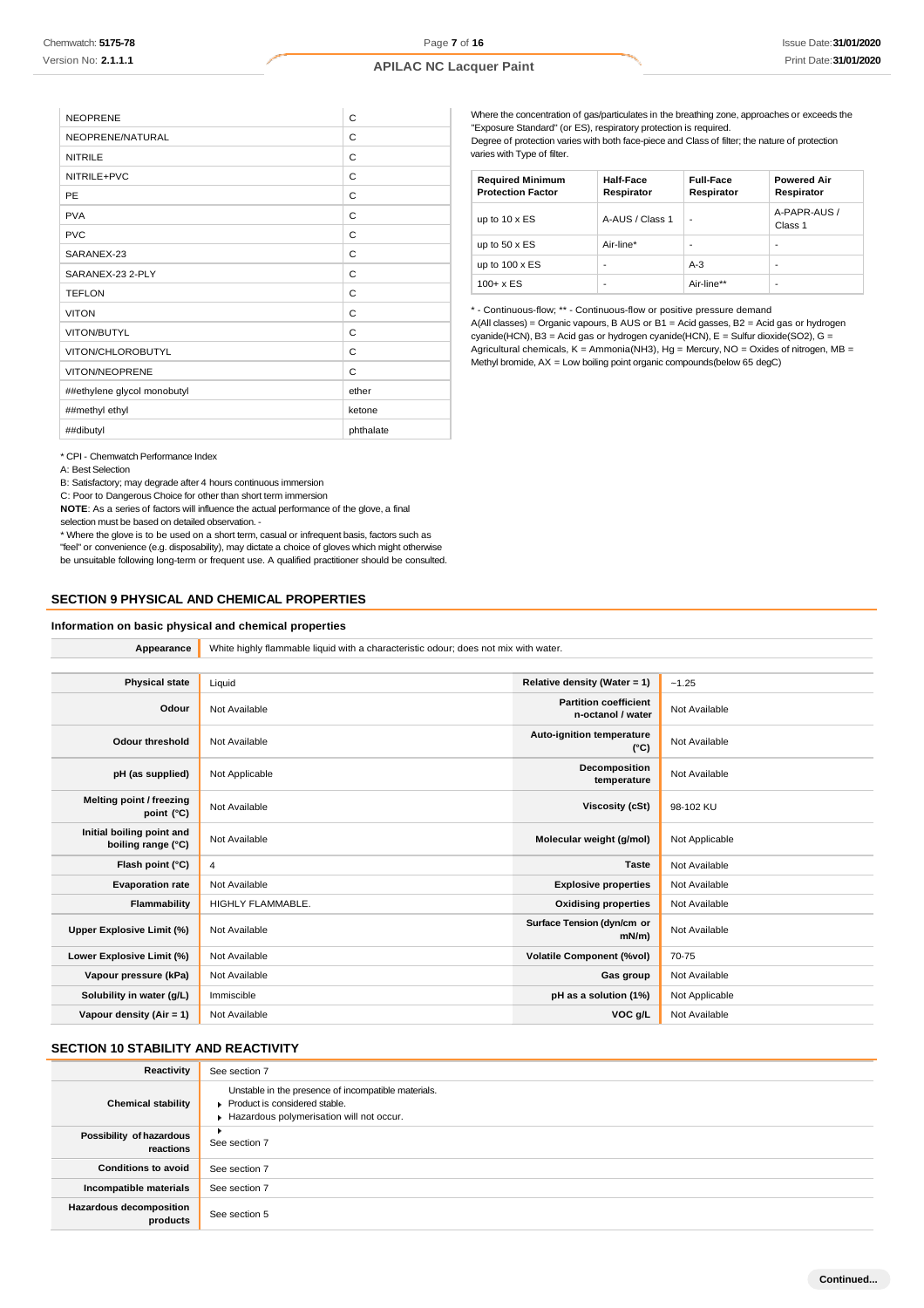| <b>NEOPRENE</b>             | C         |
|-----------------------------|-----------|
| NEOPRENE/NATURAL            | C         |
| <b>NITRILE</b>              | C         |
| NITRILE+PVC                 | C         |
| PE                          | C         |
| <b>PVA</b>                  | C         |
| <b>PVC</b>                  | C         |
| SARANEX-23                  | C         |
| SARANEX-23 2-PLY            | C         |
| <b>TEFLON</b>               | C         |
| <b>VITON</b>                | C         |
| VITON/BUTYL                 | C         |
| VITON/CHLOROBUTYL           | C         |
| VITON/NEOPRENE              | C         |
| ##ethylene glycol monobutyl | ether     |
| ##methyl ethyl              | ketone    |
| ##dibutyl                   | phthalate |

Where the concentration of gas/particulates in the breathing zone, approaches or exceeds the "Exposure Standard" (or ES), respiratory protection is required. Degree of protection varies with both face-piece and Class of filter; the nature of protection varies with Type of filter.

| <b>Required Minimum</b><br><b>Protection Factor</b> | <b>Half-Face</b><br>Respirator | <b>Full-Face</b><br>Respirator | <b>Powered Air</b><br>Respirator |
|-----------------------------------------------------|--------------------------------|--------------------------------|----------------------------------|
| up to $10 \times ES$                                | A-AUS / Class 1                | ٠                              | A-PAPR-AUS /<br>Class 1          |
| up to $50 \times ES$                                | Air-line*                      |                                |                                  |
| up to $100 \times ES$                               |                                | $A-3$                          |                                  |
| $100 + x ES$                                        | -                              | Air-line**                     | -                                |

\* - Continuous-flow; \*\* - Continuous-flow or positive pressure demand A(All classes) = Organic vapours, B AUS or B1 = Acid gasses, B2 = Acid gas or hydrogen cyanide(HCN), B3 = Acid gas or hydrogen cyanide(HCN), E = Sulfur dioxide(SO2), G = Agricultural chemicals, K = Ammonia(NH3), Hg = Mercury, NO = Oxides of nitrogen, MB = Methyl bromide, AX = Low boiling point organic compounds(below 65 degC)

\* CPI - Chemwatch Performance Index

A: Best Selection

B: Satisfactory; may degrade after 4 hours continuous immersion

C: Poor to Dangerous Choice for other than short term immersion

**NOTE**: As a series of factors will influence the actual performance of the glove, a final selection must be based on detailed observation. -

\* Where the glove is to be used on a short term, casual or infrequent basis, factors such as "feel" or convenience (e.g. disposability), may dictate a choice of gloves which might otherwise be unsuitable following long-term or frequent use. A qualified practitioner should be consulted.

#### **SECTION 9 PHYSICAL AND CHEMICAL PROPERTIES**

#### **Information on basic physical and chemical properties**

**Appearance** White highly flammable liquid with a characteristic odour; does not mix with water.

| <b>Physical state</b>                           | Liquid                   | Relative density (Water = 1)                      | $-1.25$        |
|-------------------------------------------------|--------------------------|---------------------------------------------------|----------------|
| Odour                                           | Not Available            | <b>Partition coefficient</b><br>n-octanol / water | Not Available  |
| <b>Odour threshold</b>                          | Not Available            | <b>Auto-ignition temperature</b><br>$(^{\circ}C)$ | Not Available  |
| pH (as supplied)                                | Not Applicable           | Decomposition<br>temperature                      | Not Available  |
| Melting point / freezing<br>point (°C)          | Not Available            | Viscosity (cSt)                                   | 98-102 KU      |
| Initial boiling point and<br>boiling range (°C) | Not Available            | Molecular weight (g/mol)                          | Not Applicable |
| Flash point (°C)                                | 4                        | <b>Taste</b>                                      | Not Available  |
| <b>Evaporation rate</b>                         | Not Available            | <b>Explosive properties</b>                       | Not Available  |
| Flammability                                    | <b>HIGHLY FLAMMABLE.</b> | <b>Oxidising properties</b>                       | Not Available  |
| Upper Explosive Limit (%)                       | Not Available            | Surface Tension (dyn/cm or<br>$mN/m$ )            | Not Available  |
| Lower Explosive Limit (%)                       | Not Available            | <b>Volatile Component (%vol)</b>                  | 70-75          |
| Vapour pressure (kPa)                           | Not Available            | Gas group                                         | Not Available  |
| Solubility in water (g/L)                       | Immiscible               | pH as a solution (1%)                             | Not Applicable |
| Vapour density (Air = 1)                        | Not Available            | VOC g/L                                           | Not Available  |

### **SECTION 10 STABILITY AND REACTIVITY**

| Reactivity                                 | See section 7                                                                                                                    |
|--------------------------------------------|----------------------------------------------------------------------------------------------------------------------------------|
| <b>Chemical stability</b>                  | Unstable in the presence of incompatible materials.<br>Product is considered stable.<br>Hazardous polymerisation will not occur. |
| Possibility of hazardous<br>reactions      | ٠<br>See section 7                                                                                                               |
| <b>Conditions to avoid</b>                 | See section 7                                                                                                                    |
| Incompatible materials                     | See section 7                                                                                                                    |
| <b>Hazardous decomposition</b><br>products | See section 5                                                                                                                    |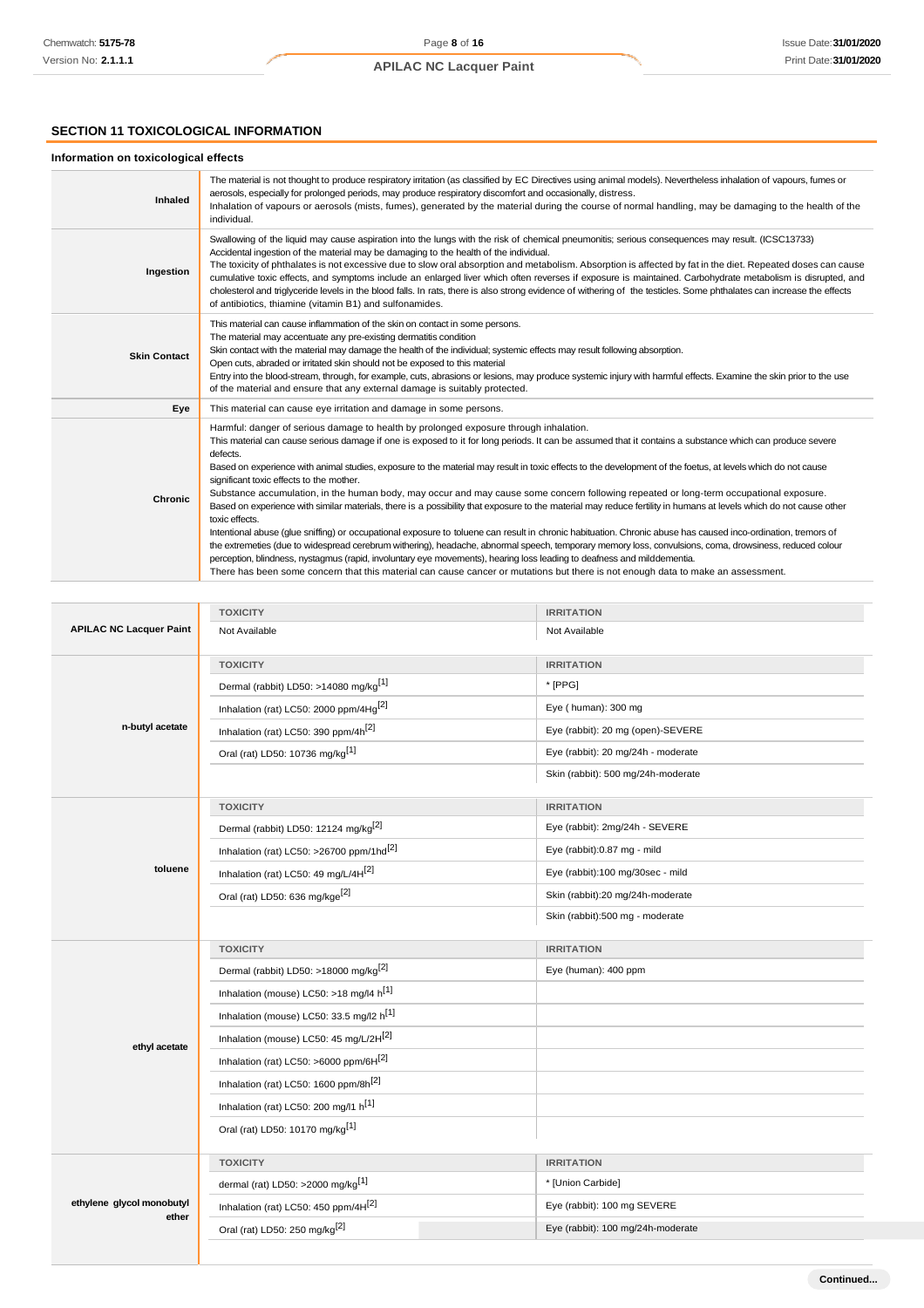### **SECTION 11 TOXICOLOGICAL INFORMATION**

### **Information on toxicological effects**

| <b>Inhaled</b>      | The material is not thought to produce respiratory irritation (as classified by EC Directives using animal models). Nevertheless inhalation of vapours, fumes or<br>aerosols, especially for prolonged periods, may produce respiratory discomfort and occasionally, distress.<br>Inhalation of vapours or aerosols (mists, fumes), generated by the material during the course of normal handling, may be damaging to the health of the<br>individual.                                                                                                                                                                                                                                                                                                                                                                                                                                                                                                                                                                                                                                                                                                                                                                                                                                                                                                                                                |
|---------------------|--------------------------------------------------------------------------------------------------------------------------------------------------------------------------------------------------------------------------------------------------------------------------------------------------------------------------------------------------------------------------------------------------------------------------------------------------------------------------------------------------------------------------------------------------------------------------------------------------------------------------------------------------------------------------------------------------------------------------------------------------------------------------------------------------------------------------------------------------------------------------------------------------------------------------------------------------------------------------------------------------------------------------------------------------------------------------------------------------------------------------------------------------------------------------------------------------------------------------------------------------------------------------------------------------------------------------------------------------------------------------------------------------------|
| Ingestion           | Swallowing of the liquid may cause aspiration into the lungs with the risk of chemical pneumonitis; serious consequences may result. (ICSC13733)<br>Accidental ingestion of the material may be damaging to the health of the individual.<br>The toxicity of phthalates is not excessive due to slow oral absorption and metabolism. Absorption is affected by fat in the diet. Repeated doses can cause<br>cumulative toxic effects, and symptoms include an enlarged liver which often reverses if exposure is maintained. Carbohydrate metabolism is disrupted, and<br>cholesterol and triglyceride levels in the blood falls. In rats, there is also strong evidence of withering of the testicles. Some phthalates can increase the effects<br>of antibiotics, thiamine (vitamin B1) and sulfonamides.                                                                                                                                                                                                                                                                                                                                                                                                                                                                                                                                                                                            |
| <b>Skin Contact</b> | This material can cause inflammation of the skin on contact in some persons.<br>The material may accentuate any pre-existing dermatitis condition<br>Skin contact with the material may damage the health of the individual; systemic effects may result following absorption.<br>Open cuts, abraded or irritated skin should not be exposed to this material<br>Entry into the blood-stream, through, for example, cuts, abrasions or lesions, may produce systemic injury with harmful effects. Examine the skin prior to the use<br>of the material and ensure that any external damage is suitably protected.                                                                                                                                                                                                                                                                                                                                                                                                                                                                                                                                                                                                                                                                                                                                                                                      |
| Eye                 | This material can cause eye irritation and damage in some persons.                                                                                                                                                                                                                                                                                                                                                                                                                                                                                                                                                                                                                                                                                                                                                                                                                                                                                                                                                                                                                                                                                                                                                                                                                                                                                                                                     |
| Chronic             | Harmful: danger of serious damage to health by prolonged exposure through inhalation.<br>This material can cause serious damage if one is exposed to it for long periods. It can be assumed that it contains a substance which can produce severe<br>defects.<br>Based on experience with animal studies, exposure to the material may result in toxic effects to the development of the foetus, at levels which do not cause<br>significant toxic effects to the mother.<br>Substance accumulation, in the human body, may occur and may cause some concern following repeated or long-term occupational exposure.<br>Based on experience with similar materials, there is a possibility that exposure to the material may reduce fertility in humans at levels which do not cause other<br>toxic effects.<br>Intentional abuse (glue sniffing) or occupational exposure to toluene can result in chronic habituation. Chronic abuse has caused inco-ordination, tremors of<br>the extremeties (due to widespread cerebrum withering), headache, abnormal speech, temporary memory loss, convulsions, coma, drowsiness, reduced colour<br>perception, blindness, nystagmus (rapid, involuntary eye movements), hearing loss leading to deafness and milddementia.<br>There has been some concern that this material can cause cancer or mutations but there is not enough data to make an assessment. |

|                                | <b>TOXICITY</b>                                                                | <b>IRRITATION</b>                  |  |
|--------------------------------|--------------------------------------------------------------------------------|------------------------------------|--|
| <b>APILAC NC Lacquer Paint</b> | Not Available                                                                  | Not Available                      |  |
|                                | <b>TOXICITY</b>                                                                | <b>IRRITATION</b>                  |  |
|                                | Dermal (rabbit) LD50: >14080 mg/kg <sup>[1]</sup>                              | * [PPG]                            |  |
|                                | Inhalation (rat) LC50: 2000 ppm/4Hg <sup>[2]</sup>                             | Eye (human): 300 mg                |  |
| n-butyl acetate                | Inhalation (rat) LC50: 390 ppm/4h <sup>[2]</sup>                               | Eye (rabbit): 20 mg (open)-SEVERE  |  |
|                                | Oral (rat) LD50: 10736 mg/kg <sup>[1]</sup>                                    | Eye (rabbit): 20 mg/24h - moderate |  |
|                                |                                                                                | Skin (rabbit): 500 mg/24h-moderate |  |
|                                | <b>TOXICITY</b>                                                                | <b>IRRITATION</b>                  |  |
|                                | Dermal (rabbit) LD50: 12124 mg/kg <sup>[2]</sup>                               | Eye (rabbit): 2mg/24h - SEVERE     |  |
|                                | Inhalation (rat) LC50: >26700 ppm/1hd <sup>[2]</sup>                           | Eye (rabbit):0.87 mg - mild        |  |
| toluene                        | Inhalation (rat) LC50: 49 mg/L/4H <sup>[2]</sup>                               | Eye (rabbit):100 mg/30sec - mild   |  |
|                                | Oral (rat) LD50: 636 mg/kge <sup>[2]</sup><br>Skin (rabbit):20 mg/24h-moderate |                                    |  |
|                                |                                                                                | Skin (rabbit):500 mg - moderate    |  |
|                                |                                                                                |                                    |  |
|                                | <b>TOXICITY</b>                                                                | <b>IRRITATION</b>                  |  |
|                                | Dermal (rabbit) LD50: >18000 mg/kg <sup>[2]</sup>                              | Eye (human): 400 ppm               |  |
|                                | Inhalation (mouse) LC50: >18 mg/l4 $h^{[1]}$                                   |                                    |  |
|                                | Inhalation (mouse) LC50: 33.5 mg/l2 h <sup>[1]</sup>                           |                                    |  |
|                                | Inhalation (mouse) LC50: 45 mg/L/2H <sup>[2]</sup>                             |                                    |  |
| ethyl acetate                  | Inhalation (rat) LC50: >6000 ppm/6H[2]                                         |                                    |  |
|                                | Inhalation (rat) LC50: 1600 ppm/8h <sup>[2]</sup>                              |                                    |  |
|                                | Inhalation (rat) LC50: 200 mg/l1 h <sup>[1]</sup>                              |                                    |  |
|                                | Oral (rat) LD50: 10170 mg/kg <sup>[1]</sup>                                    |                                    |  |
|                                | <b>TOXICITY</b>                                                                | <b>IRRITATION</b>                  |  |
|                                | dermal (rat) LD50: >2000 mg/kg <sup>[1]</sup>                                  | * [Union Carbide]                  |  |
| ethylene glycol monobutyl      | Inhalation (rat) LC50: 450 ppm/4H[2]                                           | Eye (rabbit): 100 mg SEVERE        |  |
| ether                          | Oral (rat) LD50: 250 mg/kg <sup>[2]</sup>                                      | Eye (rabbit): 100 mg/24h-moderate  |  |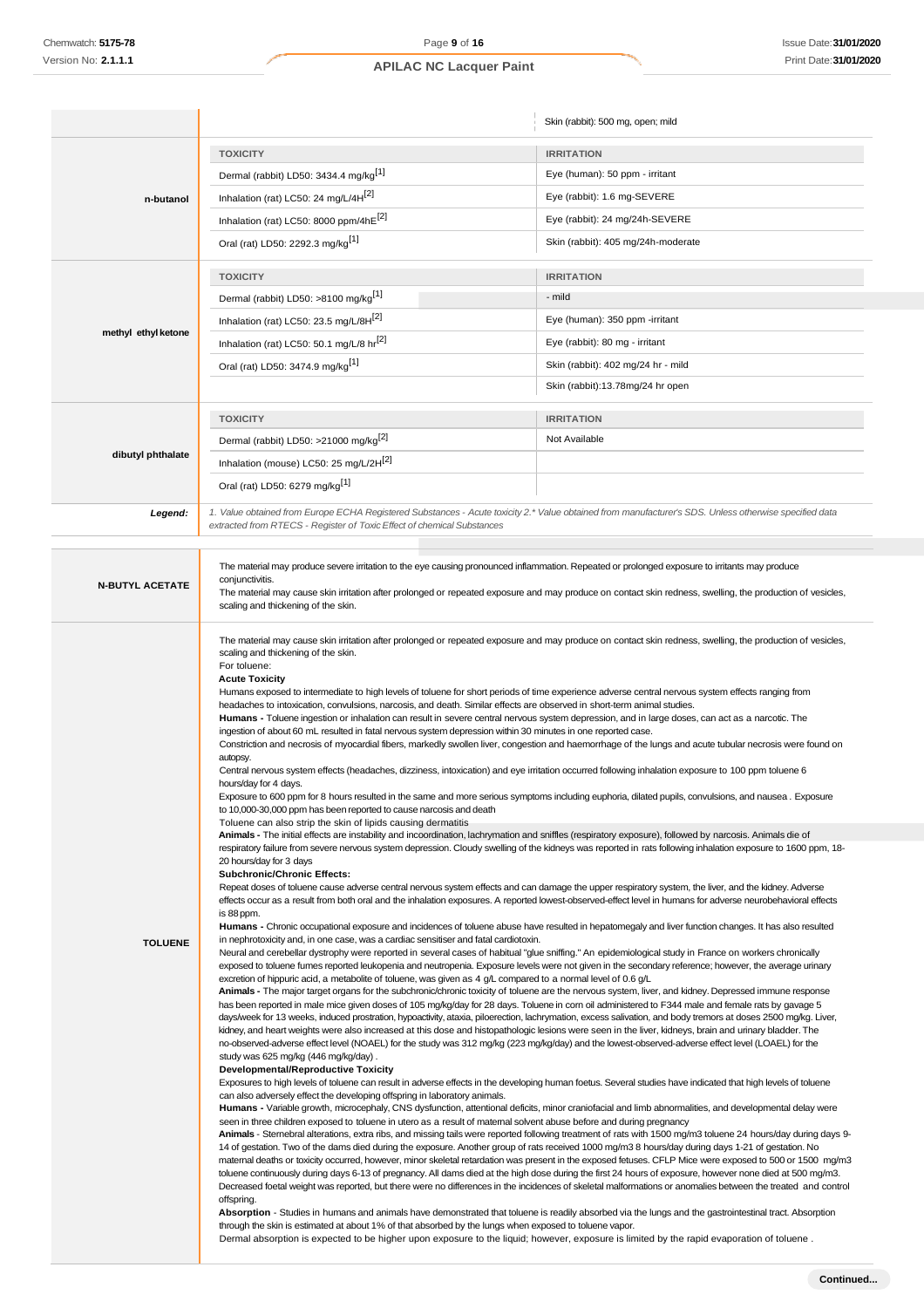|                        |                                                                                                                                                                                                                                                                                                                                                                                                                                                                                                                                                                                                                                                                                                                                                                                                                                                                                                                                                                                                                                                                                                                                                                                                                                                                                                                                                                                                                                                                                                                                                                                                                                                                                                                                                                                                                                                                                                                                                                                                                                                                                                                                                                                                                                                                                                                                                                                                                                                                                                                                                                                                                                                                                                                                                                                                                                                                                                                                                                                                                                                                                                                                                                                                                                                                                                                                                                                                                                                                                                                                                                                                                                                                                                                                                                                                                                                                                                                                                                                                           | Skin (rabbit): 500 mg, open; mild  |  |
|------------------------|-----------------------------------------------------------------------------------------------------------------------------------------------------------------------------------------------------------------------------------------------------------------------------------------------------------------------------------------------------------------------------------------------------------------------------------------------------------------------------------------------------------------------------------------------------------------------------------------------------------------------------------------------------------------------------------------------------------------------------------------------------------------------------------------------------------------------------------------------------------------------------------------------------------------------------------------------------------------------------------------------------------------------------------------------------------------------------------------------------------------------------------------------------------------------------------------------------------------------------------------------------------------------------------------------------------------------------------------------------------------------------------------------------------------------------------------------------------------------------------------------------------------------------------------------------------------------------------------------------------------------------------------------------------------------------------------------------------------------------------------------------------------------------------------------------------------------------------------------------------------------------------------------------------------------------------------------------------------------------------------------------------------------------------------------------------------------------------------------------------------------------------------------------------------------------------------------------------------------------------------------------------------------------------------------------------------------------------------------------------------------------------------------------------------------------------------------------------------------------------------------------------------------------------------------------------------------------------------------------------------------------------------------------------------------------------------------------------------------------------------------------------------------------------------------------------------------------------------------------------------------------------------------------------------------------------------------------------------------------------------------------------------------------------------------------------------------------------------------------------------------------------------------------------------------------------------------------------------------------------------------------------------------------------------------------------------------------------------------------------------------------------------------------------------------------------------------------------------------------------------------------------------------------------------------------------------------------------------------------------------------------------------------------------------------------------------------------------------------------------------------------------------------------------------------------------------------------------------------------------------------------------------------------------------------------------------------------------------------------------------------------------|------------------------------------|--|
|                        | <b>TOXICITY</b>                                                                                                                                                                                                                                                                                                                                                                                                                                                                                                                                                                                                                                                                                                                                                                                                                                                                                                                                                                                                                                                                                                                                                                                                                                                                                                                                                                                                                                                                                                                                                                                                                                                                                                                                                                                                                                                                                                                                                                                                                                                                                                                                                                                                                                                                                                                                                                                                                                                                                                                                                                                                                                                                                                                                                                                                                                                                                                                                                                                                                                                                                                                                                                                                                                                                                                                                                                                                                                                                                                                                                                                                                                                                                                                                                                                                                                                                                                                                                                                           | <b>IRRITATION</b>                  |  |
|                        | Dermal (rabbit) LD50: 3434.4 mg/kg <sup>[1]</sup>                                                                                                                                                                                                                                                                                                                                                                                                                                                                                                                                                                                                                                                                                                                                                                                                                                                                                                                                                                                                                                                                                                                                                                                                                                                                                                                                                                                                                                                                                                                                                                                                                                                                                                                                                                                                                                                                                                                                                                                                                                                                                                                                                                                                                                                                                                                                                                                                                                                                                                                                                                                                                                                                                                                                                                                                                                                                                                                                                                                                                                                                                                                                                                                                                                                                                                                                                                                                                                                                                                                                                                                                                                                                                                                                                                                                                                                                                                                                                         | Eye (human): 50 ppm - irritant     |  |
| n-butanol              | Inhalation (rat) LC50: 24 mg/L/4H <sup>[2]</sup>                                                                                                                                                                                                                                                                                                                                                                                                                                                                                                                                                                                                                                                                                                                                                                                                                                                                                                                                                                                                                                                                                                                                                                                                                                                                                                                                                                                                                                                                                                                                                                                                                                                                                                                                                                                                                                                                                                                                                                                                                                                                                                                                                                                                                                                                                                                                                                                                                                                                                                                                                                                                                                                                                                                                                                                                                                                                                                                                                                                                                                                                                                                                                                                                                                                                                                                                                                                                                                                                                                                                                                                                                                                                                                                                                                                                                                                                                                                                                          | Eye (rabbit): 1.6 mg-SEVERE        |  |
|                        | Inhalation (rat) LC50: 8000 ppm/4hE[2]                                                                                                                                                                                                                                                                                                                                                                                                                                                                                                                                                                                                                                                                                                                                                                                                                                                                                                                                                                                                                                                                                                                                                                                                                                                                                                                                                                                                                                                                                                                                                                                                                                                                                                                                                                                                                                                                                                                                                                                                                                                                                                                                                                                                                                                                                                                                                                                                                                                                                                                                                                                                                                                                                                                                                                                                                                                                                                                                                                                                                                                                                                                                                                                                                                                                                                                                                                                                                                                                                                                                                                                                                                                                                                                                                                                                                                                                                                                                                                    | Eye (rabbit): 24 mg/24h-SEVERE     |  |
|                        | Oral (rat) LD50: 2292.3 mg/kg <sup>[1]</sup>                                                                                                                                                                                                                                                                                                                                                                                                                                                                                                                                                                                                                                                                                                                                                                                                                                                                                                                                                                                                                                                                                                                                                                                                                                                                                                                                                                                                                                                                                                                                                                                                                                                                                                                                                                                                                                                                                                                                                                                                                                                                                                                                                                                                                                                                                                                                                                                                                                                                                                                                                                                                                                                                                                                                                                                                                                                                                                                                                                                                                                                                                                                                                                                                                                                                                                                                                                                                                                                                                                                                                                                                                                                                                                                                                                                                                                                                                                                                                              | Skin (rabbit): 405 mg/24h-moderate |  |
|                        | <b>TOXICITY</b>                                                                                                                                                                                                                                                                                                                                                                                                                                                                                                                                                                                                                                                                                                                                                                                                                                                                                                                                                                                                                                                                                                                                                                                                                                                                                                                                                                                                                                                                                                                                                                                                                                                                                                                                                                                                                                                                                                                                                                                                                                                                                                                                                                                                                                                                                                                                                                                                                                                                                                                                                                                                                                                                                                                                                                                                                                                                                                                                                                                                                                                                                                                                                                                                                                                                                                                                                                                                                                                                                                                                                                                                                                                                                                                                                                                                                                                                                                                                                                                           | <b>IRRITATION</b>                  |  |
|                        | Dermal (rabbit) LD50: >8100 mg/kg <sup>[1]</sup>                                                                                                                                                                                                                                                                                                                                                                                                                                                                                                                                                                                                                                                                                                                                                                                                                                                                                                                                                                                                                                                                                                                                                                                                                                                                                                                                                                                                                                                                                                                                                                                                                                                                                                                                                                                                                                                                                                                                                                                                                                                                                                                                                                                                                                                                                                                                                                                                                                                                                                                                                                                                                                                                                                                                                                                                                                                                                                                                                                                                                                                                                                                                                                                                                                                                                                                                                                                                                                                                                                                                                                                                                                                                                                                                                                                                                                                                                                                                                          | - mild                             |  |
|                        | Inhalation (rat) LC50: 23.5 mg/L/8H <sup>[2]</sup><br>Eye (human): 350 ppm -irritant                                                                                                                                                                                                                                                                                                                                                                                                                                                                                                                                                                                                                                                                                                                                                                                                                                                                                                                                                                                                                                                                                                                                                                                                                                                                                                                                                                                                                                                                                                                                                                                                                                                                                                                                                                                                                                                                                                                                                                                                                                                                                                                                                                                                                                                                                                                                                                                                                                                                                                                                                                                                                                                                                                                                                                                                                                                                                                                                                                                                                                                                                                                                                                                                                                                                                                                                                                                                                                                                                                                                                                                                                                                                                                                                                                                                                                                                                                                      |                                    |  |
| methyl ethyl ketone    | Inhalation (rat) LC50: 50.1 mg/L/8 hr <sup>[2]</sup>                                                                                                                                                                                                                                                                                                                                                                                                                                                                                                                                                                                                                                                                                                                                                                                                                                                                                                                                                                                                                                                                                                                                                                                                                                                                                                                                                                                                                                                                                                                                                                                                                                                                                                                                                                                                                                                                                                                                                                                                                                                                                                                                                                                                                                                                                                                                                                                                                                                                                                                                                                                                                                                                                                                                                                                                                                                                                                                                                                                                                                                                                                                                                                                                                                                                                                                                                                                                                                                                                                                                                                                                                                                                                                                                                                                                                                                                                                                                                      | Eye (rabbit): 80 mg - irritant     |  |
|                        | Oral (rat) LD50: 3474.9 mg/kg <sup>[1]</sup>                                                                                                                                                                                                                                                                                                                                                                                                                                                                                                                                                                                                                                                                                                                                                                                                                                                                                                                                                                                                                                                                                                                                                                                                                                                                                                                                                                                                                                                                                                                                                                                                                                                                                                                                                                                                                                                                                                                                                                                                                                                                                                                                                                                                                                                                                                                                                                                                                                                                                                                                                                                                                                                                                                                                                                                                                                                                                                                                                                                                                                                                                                                                                                                                                                                                                                                                                                                                                                                                                                                                                                                                                                                                                                                                                                                                                                                                                                                                                              | Skin (rabbit): 402 mg/24 hr - mild |  |
|                        |                                                                                                                                                                                                                                                                                                                                                                                                                                                                                                                                                                                                                                                                                                                                                                                                                                                                                                                                                                                                                                                                                                                                                                                                                                                                                                                                                                                                                                                                                                                                                                                                                                                                                                                                                                                                                                                                                                                                                                                                                                                                                                                                                                                                                                                                                                                                                                                                                                                                                                                                                                                                                                                                                                                                                                                                                                                                                                                                                                                                                                                                                                                                                                                                                                                                                                                                                                                                                                                                                                                                                                                                                                                                                                                                                                                                                                                                                                                                                                                                           | Skin (rabbit):13.78mg/24 hr open   |  |
|                        | <b>TOXICITY</b>                                                                                                                                                                                                                                                                                                                                                                                                                                                                                                                                                                                                                                                                                                                                                                                                                                                                                                                                                                                                                                                                                                                                                                                                                                                                                                                                                                                                                                                                                                                                                                                                                                                                                                                                                                                                                                                                                                                                                                                                                                                                                                                                                                                                                                                                                                                                                                                                                                                                                                                                                                                                                                                                                                                                                                                                                                                                                                                                                                                                                                                                                                                                                                                                                                                                                                                                                                                                                                                                                                                                                                                                                                                                                                                                                                                                                                                                                                                                                                                           | <b>IRRITATION</b>                  |  |
|                        | Dermal (rabbit) LD50: >21000 mg/kg <sup>[2]</sup>                                                                                                                                                                                                                                                                                                                                                                                                                                                                                                                                                                                                                                                                                                                                                                                                                                                                                                                                                                                                                                                                                                                                                                                                                                                                                                                                                                                                                                                                                                                                                                                                                                                                                                                                                                                                                                                                                                                                                                                                                                                                                                                                                                                                                                                                                                                                                                                                                                                                                                                                                                                                                                                                                                                                                                                                                                                                                                                                                                                                                                                                                                                                                                                                                                                                                                                                                                                                                                                                                                                                                                                                                                                                                                                                                                                                                                                                                                                                                         | Not Available                      |  |
| dibutyl phthalate      | Inhalation (mouse) LC50: 25 mg/L/2H <sup>[2]</sup>                                                                                                                                                                                                                                                                                                                                                                                                                                                                                                                                                                                                                                                                                                                                                                                                                                                                                                                                                                                                                                                                                                                                                                                                                                                                                                                                                                                                                                                                                                                                                                                                                                                                                                                                                                                                                                                                                                                                                                                                                                                                                                                                                                                                                                                                                                                                                                                                                                                                                                                                                                                                                                                                                                                                                                                                                                                                                                                                                                                                                                                                                                                                                                                                                                                                                                                                                                                                                                                                                                                                                                                                                                                                                                                                                                                                                                                                                                                                                        |                                    |  |
|                        | Oral (rat) LD50: 6279 mg/kg <sup>[1]</sup>                                                                                                                                                                                                                                                                                                                                                                                                                                                                                                                                                                                                                                                                                                                                                                                                                                                                                                                                                                                                                                                                                                                                                                                                                                                                                                                                                                                                                                                                                                                                                                                                                                                                                                                                                                                                                                                                                                                                                                                                                                                                                                                                                                                                                                                                                                                                                                                                                                                                                                                                                                                                                                                                                                                                                                                                                                                                                                                                                                                                                                                                                                                                                                                                                                                                                                                                                                                                                                                                                                                                                                                                                                                                                                                                                                                                                                                                                                                                                                |                                    |  |
| Legend:                | 1. Value obtained from Europe ECHA Registered Substances - Acute toxicity 2.* Value obtained from manufacturer's SDS. Unless otherwise specified data<br>extracted from RTECS - Register of Toxic Effect of chemical Substances                                                                                                                                                                                                                                                                                                                                                                                                                                                                                                                                                                                                                                                                                                                                                                                                                                                                                                                                                                                                                                                                                                                                                                                                                                                                                                                                                                                                                                                                                                                                                                                                                                                                                                                                                                                                                                                                                                                                                                                                                                                                                                                                                                                                                                                                                                                                                                                                                                                                                                                                                                                                                                                                                                                                                                                                                                                                                                                                                                                                                                                                                                                                                                                                                                                                                                                                                                                                                                                                                                                                                                                                                                                                                                                                                                           |                                    |  |
|                        |                                                                                                                                                                                                                                                                                                                                                                                                                                                                                                                                                                                                                                                                                                                                                                                                                                                                                                                                                                                                                                                                                                                                                                                                                                                                                                                                                                                                                                                                                                                                                                                                                                                                                                                                                                                                                                                                                                                                                                                                                                                                                                                                                                                                                                                                                                                                                                                                                                                                                                                                                                                                                                                                                                                                                                                                                                                                                                                                                                                                                                                                                                                                                                                                                                                                                                                                                                                                                                                                                                                                                                                                                                                                                                                                                                                                                                                                                                                                                                                                           |                                    |  |
| <b>N-BUTYL ACETATE</b> | The material may produce severe irritation to the eye causing pronounced inflammation. Repeated or prolonged exposure to irritants may produce<br>conjunctivitis.<br>The material may cause skin irritation after prolonged or repeated exposure and may produce on contact skin redness, swelling, the production of vesicles,<br>scaling and thickening of the skin.                                                                                                                                                                                                                                                                                                                                                                                                                                                                                                                                                                                                                                                                                                                                                                                                                                                                                                                                                                                                                                                                                                                                                                                                                                                                                                                                                                                                                                                                                                                                                                                                                                                                                                                                                                                                                                                                                                                                                                                                                                                                                                                                                                                                                                                                                                                                                                                                                                                                                                                                                                                                                                                                                                                                                                                                                                                                                                                                                                                                                                                                                                                                                                                                                                                                                                                                                                                                                                                                                                                                                                                                                                    |                                    |  |
|                        | The material may cause skin irritation after prolonged or repeated exposure and may produce on contact skin redness, swelling, the production of vesicles,<br>scaling and thickening of the skin.<br>For toluene:<br><b>Acute Toxicity</b><br>Humans exposed to intermediate to high levels of toluene for short periods of time experience adverse central nervous system effects ranging from<br>headaches to intoxication, convulsions, narcosis, and death. Similar effects are observed in short-term animal studies.<br>Humans - Toluene ingestion or inhalation can result in severe central nervous system depression, and in large doses, can act as a narcotic. The<br>ingestion of about 60 mL resulted in fatal nervous system depression within 30 minutes in one reported case.<br>Constriction and necrosis of myocardial fibers, markedly swollen liver, congestion and haemorrhage of the lungs and acute tubular necrosis were found on<br>autopsy.<br>Central nervous system effects (headaches, dizziness, intoxication) and eye irritation occurred following inhalation exposure to 100 ppm toluene 6<br>hours/day for 4 days.<br>Exposure to 600 ppm for 8 hours resulted in the same and more serious symptoms including euphoria, dilated pupils, convulsions, and nausea. Exposure<br>to 10,000-30,000 ppm has been reported to cause narcosis and death                                                                                                                                                                                                                                                                                                                                                                                                                                                                                                                                                                                                                                                                                                                                                                                                                                                                                                                                                                                                                                                                                                                                                                                                                                                                                                                                                                                                                                                                                                                                                                                                                                                                                                                                                                                                                                                                                                                                                                                                                                                                                                                                                                                                                                                                                                                                                                                                                                                                                                                                                                                                                        |                                    |  |
| <b>TOLUENE</b>         | Toluene can also strip the skin of lipids causing dermatitis<br>Animals - The initial effects are instability and incoordination, lachrymation and sniffles (respiratory exposure), followed by narcosis. Animals die of<br>respiratory failure from severe nervous system depression. Cloudy swelling of the kidneys was reported in rats following inhalation exposure to 1600 ppm, 18-<br>20 hours/day for 3 days<br><b>Subchronic/Chronic Effects:</b><br>Repeat doses of toluene cause adverse central nervous system effects and can damage the upper respiratory system, the liver, and the kidney. Adverse<br>effects occur as a result from both oral and the inhalation exposures. A reported lowest-observed-effect level in humans for adverse neurobehavioral effects<br>is 88 ppm.<br>Humans - Chronic occupational exposure and incidences of toluene abuse have resulted in hepatomegaly and liver function changes. It has also resulted<br>in nephrotoxicity and, in one case, was a cardiac sensitiser and fatal cardiotoxin.<br>Neural and cerebellar dystrophy were reported in several cases of habitual "glue sniffing." An epidemiological study in France on workers chronically<br>exposed to toluene fumes reported leukopenia and neutropenia. Exposure levels were not given in the secondary reference; however, the average urinary<br>excretion of hippuric acid, a metabolite of toluene, was given as 4 g/L compared to a normal level of 0.6 g/L<br>Animals - The major target organs for the subchronic/chronic toxicity of toluene are the nervous system, liver, and kidney. Depressed immune response<br>has been reported in male mice given doses of 105 mg/kg/day for 28 days. Toluene in corn oil administered to F344 male and female rats by gavage 5<br>days/week for 13 weeks, induced prostration, hypoactivity, ataxia, piloerection, lachrymation, excess salivation, and body tremors at doses 2500 mg/kg. Liver,<br>kidney, and heart weights were also increased at this dose and histopathologic lesions were seen in the liver, kidneys, brain and urinary bladder. The<br>no-observed-adverse effect level (NOAEL) for the study was 312 mg/kg (223 mg/kg/day) and the lowest-observed-adverse effect level (LOAEL) for the<br>study was 625 mg/kg (446 mg/kg/day).<br><b>Developmental/Reproductive Toxicity</b><br>Exposures to high levels of toluene can result in adverse effects in the developing human foetus. Several studies have indicated that high levels of toluene<br>can also adversely effect the developing offspring in laboratory animals.<br>Humans - Variable growth, microcephaly, CNS dysfunction, attentional deficits, minor craniofacial and limb abnormalities, and developmental delay were<br>seen in three children exposed to toluene in utero as a result of maternal solvent abuse before and during pregnancy<br>Animals - Stemebral alterations, extra ribs, and missing tails were reported following treatment of rats with 1500 mg/m3 toluene 24 hours/day during days 9-<br>14 of gestation. Two of the dams died during the exposure. Another group of rats received 1000 mg/m3 8 hours/day during days 1-21 of gestation. No<br>matemal deaths or toxicity occurred, however, minor skeletal retardation was present in the exposed fetuses. CFLP Mice were exposed to 500 or 1500 mg/m3<br>toluene continuously during days 6-13 of pregnancy. All dams died at the high dose during the first 24 hours of exposure, however none died at 500 mg/m3.<br>Decreased foetal weight was reported, but there were no differences in the incidences of skeletal malformations or anomalies between the treated and control<br>offspring.<br>Absorption - Studies in humans and animals have demonstrated that toluene is readily absorbed via the lungs and the gastrointestinal tract. Absorption<br>through the skin is estimated at about 1% of that absorbed by the lungs when exposed to toluene vapor. |                                    |  |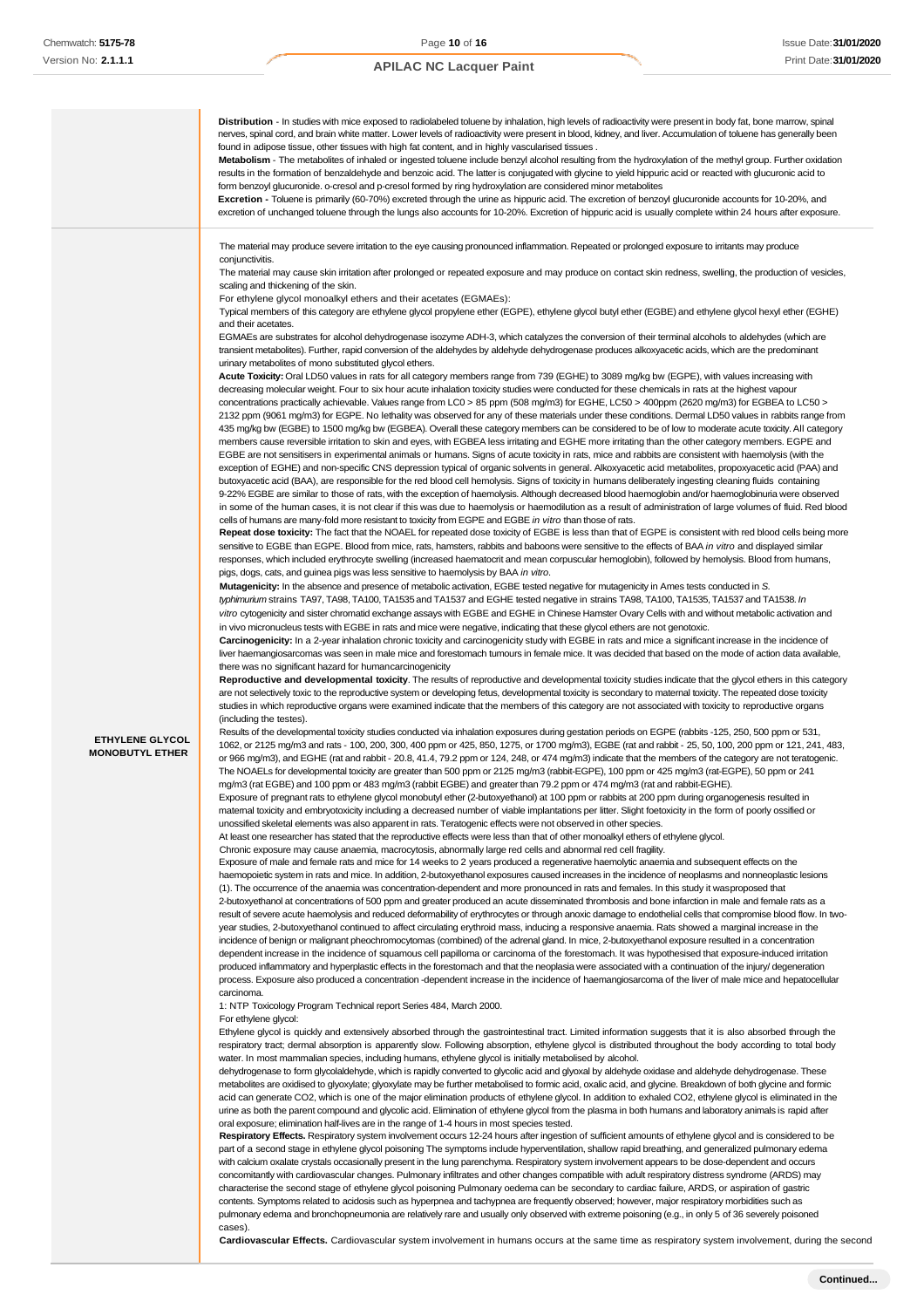

**Cardiovascular Effects.** Cardiovascular system involvement in humans occurs at the same time as respiratory system involvement, during the second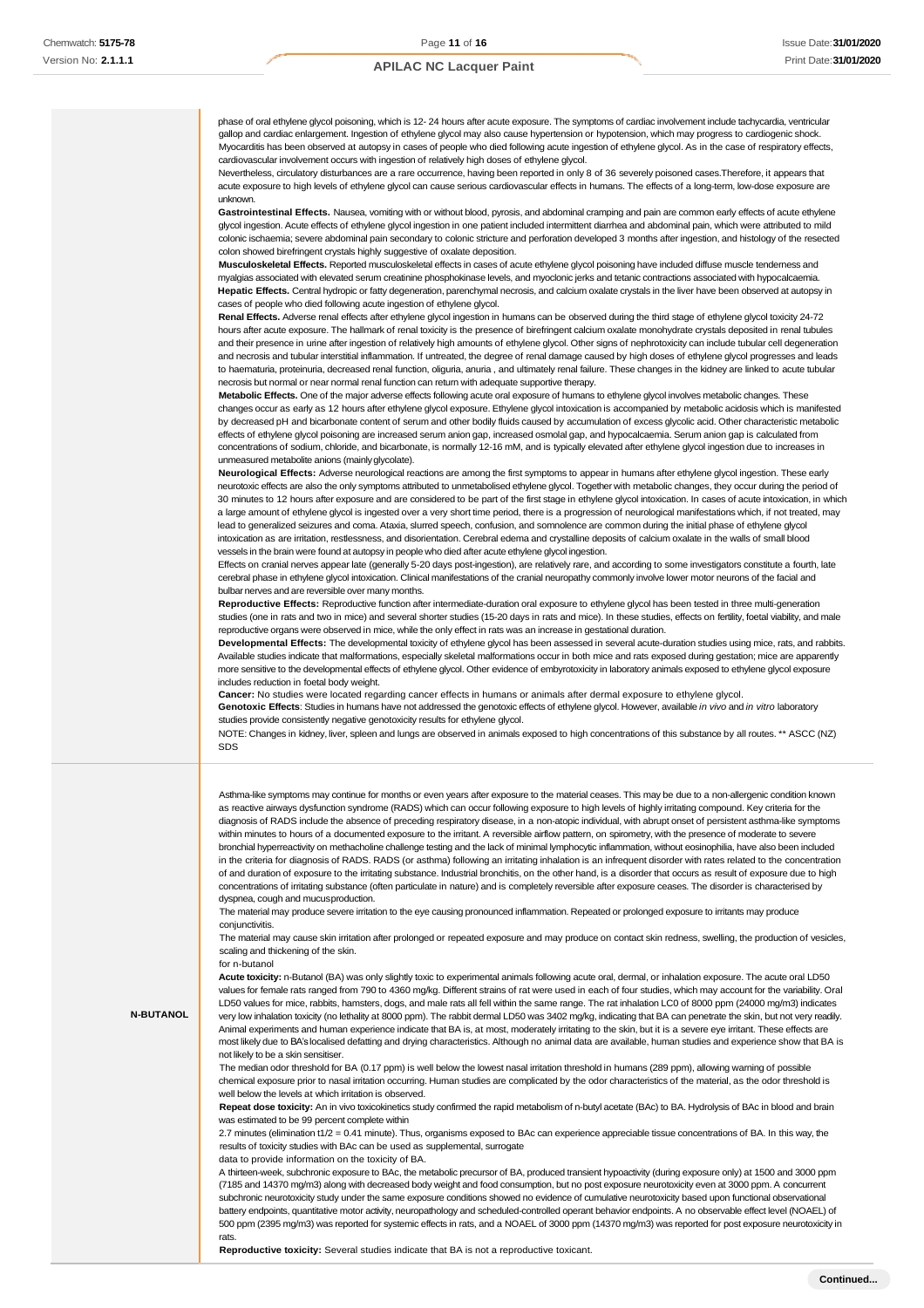phase of oral ethylene glycol poisoning, which is 12- 24 hours after acute exposure. The symptoms of cardiac involvement include tachycardia, ventricular gallop and cardiac enlargement. Ingestion of ethylene glycol may also cause hypertension or hypotension, which may progress to cardiogenic shock. Myocarditis has been observed at autopsy in cases of people who died following acute ingestion of ethylene glycol. As in the case of respiratory effects, cardiovascular involvement occurs with ingestion of relatively high doses of ethylene glycol.

Nevertheless, circulatory disturbances are a rare occurrence, having been reported in only 8 of 36 severely poisoned cases.Therefore, it appears that acute exposure to high levels of ethylene glycol can cause serious cardiovascular effects in humans. The effects of a long-term, low-dose exposure are unknown.

**Gastrointestinal Effects.** Nausea, vomiting with or without blood, pyrosis, and abdominal cramping and pain are common early effects of acute ethylene glycol ingestion. Acute effects of ethylene glycol ingestion in one patient included intermittent diarrhea and abdominal pain, which were attributed to mild colonic ischaemia; severe abdominal pain secondary to colonic stricture and perforation developed 3 months after ingestion, and histology of the resected colon showed birefringent crystals highly suggestive of oxalate deposition.

**Musculoskeletal Effects.** Reported musculoskeletal effects in cases of acute ethylene glycol poisoning have included diffuse muscle tenderness and myalgias associated with elevated serum creatinine phosphokinase levels, and myoclonic jerks and tetanic contractions associated with hypocalcaemia. **Hepatic Effects.** Central hydropic or fatty degeneration, parenchymal necrosis, and calcium oxalate crystals in the liver have been observed at autopsy in cases of people who died following acute ingestion of ethylene glycol.

**Renal Effects.** Adverse renal effects after ethylene glycol ingestion in humans can be observed during the third stage of ethylene glycol toxicity 24-72 hours after acute exposure. The hallmark of renal toxicity is the presence of birefringent calcium oxalate monohydrate crystals deposited in renal tubules and their presence in urine after ingestion of relatively high amounts of ethylene glycol. Other signs of nephrotoxicity can include tubular cell degeneration and necrosis and tubular interstitial inflammation. If untreated, the degree of renal damage caused by high doses of ethylene glycol progresses and leads to haematuria, proteinuria, decreased renal function, oliguria, anuria , and ultimately renal failure. These changes in the kidney are linked to acute tubular necrosis but normal or near normal renal function can return with adequate supportive therapy.

**Metabolic Effects.** One of the major adverse effects following acute oral exposure of humans to ethylene glycol involves metabolic changes. These changes occur as early as 12 hours after ethylene glycol exposure. Ethylene glycol intoxication is accompanied by metabolic acidosis which is manifested by decreased pH and bicarbonate content of serum and other bodily fluids caused by accumulation of excess glycolic acid. Other characteristic metabolic effects of ethylene glycol poisoning are increased serum anion gap, increased osmolal gap, and hypocalcaemia. Serum anion gap is calculated from concentrations of sodium, chloride, and bicarbonate, is normally 12-16 mM, and is typically elevated after ethylene glycol ingestion due to increases in unmeasured metabolite anions (mainlyglycolate).

**Neurological Effects:** Adverse neurological reactions are among the first symptoms to appear in humans after ethylene glycol ingestion. These early neurotoxic effects are also the only symptoms attributed to unmetabolised ethylene glycol. Together with metabolic changes, they occur during the period of 30 minutes to 12 hours after exposure and are considered to be part of the first stage in ethylene glycol intoxication. In cases of acute intoxication, in which a large amount of ethylene glycol is ingested over a very short time period, there is a progression of neurological manifestations which, if not treated, may lead to generalized seizures and coma. Ataxia, slurred speech, confusion, and somnolence are common during the initial phase of ethylene glycol intoxication as are irritation, restlessness, and disorientation. Cerebral edema and crystalline deposits of calcium oxalate in the walls of small blood vessels in the brain were found at autopsy in people who died after acute ethylene glycol ingestion.

Effects on cranial nerves appear late (generally 5-20 days post-ingestion), are relatively rare, and according to some investigators constitute a fourth, late cerebral phase in ethylene glycol intoxication. Clinical manifestations of the cranial neuropathy commonly involve lower motor neurons of the facial and bulbar nerves and are reversible over many months.

**Reproductive Effects:** Reproductive function after intermediate-duration oral exposure to ethylene glycol has been tested in three multi-generation studies (one in rats and two in mice) and several shorter studies (15-20 days in rats and mice). In these studies, effects on fertility, foetal viability, and male reproductive organs were observed in mice, while the only effect in rats was an increase in gestational duration.

**Developmental Effects:** The developmental toxicity of ethylene glycol has been assessed in several acute-duration studies using mice, rats, and rabbits. Available studies indicate that malformations, especially skeletal malformations occur in both mice and rats exposed during gestation; mice are apparently more sensitive to the developmental effects of ethylene glycol. Other evidence of embyrotoxicity in laboratory animals exposed to ethylene glycol exposure includes reduction in foetal body weight.

**Cancer:** No studies were located regarding cancer effects in humans or animals after dermal exposure to ethylene glycol.

**Genotoxic Effects**: Studies in humans have not addressed the genotoxic effects of ethylene glycol. However, available *in vivo* and *in vitro* laboratory studies provide consistently negative genotoxicity results for ethylene glycol.

NOTE: Changes in kidney, liver, spleen and lungs are observed in animals exposed to high concentrations of this substance by all routes. \*\* ASCC (NZ) SDS

Asthma-like symptoms may continue for months or even years after exposure to the material ceases. This may be due to a non-allergenic condition known as reactive airways dysfunction syndrome (RADS) which can occur following exposure to high levels of highly irritating compound. Key criteria for the diagnosis of RADS include the absence of preceding respiratory disease, in a non-atopic individual, with abrupt onset of persistent asthma-like symptoms within minutes to hours of a documented exposure to the irritant. A reversible airflow pattern, on spirometry, with the presence of moderate to severe bronchial hyperreactivity on methacholine challenge testing and the lack of minimal lymphocytic inflammation, without eosinophilia, have also been included in the criteria for diagnosis of RADS. RADS (or asthma) following an irritating inhalation is an infrequent disorder with rates related to the concentration of and duration of exposure to the irritating substance. Industrial bronchitis, on the other hand, is a disorder that occurs as result of exposure due to high concentrations of irritating substance (often particulate in nature) and is completely reversible after exposure ceases. The disorder is characterised by dyspnea, cough and mucusproduction.

The material may produce severe irritation to the eye causing pronounced inflammation. Repeated or prolonged exposure to irritants may produce conjunctivitis.

The material may cause skin irritation after prolonged or repeated exposure and may produce on contact skin redness, swelling, the production of vesicles, scaling and thickening of the skin.

#### for n-butanol

**N-BUTANOL**

**Acute toxicity:** n-Butanol (BA) was only slightly toxic to experimental animals following acute oral, dermal, or inhalation exposure. The acute oral LD50 values for female rats ranged from 790 to 4360 mg/kg. Different strains of rat were used in each of four studies, which may account for the variability. Oral LD50 values for mice, rabbits, hamsters, dogs, and male rats all fell within the same range. The rat inhalation LC0 of 8000 ppm (24000 mg/m3) indicates very low inhalation toxicity (no lethality at 8000 ppm). The rabbit dermal LD50 was 3402 mg/kg, indicating that BA can penetrate the skin, but not very readily. Animal experiments and human experience indicate that BA is, at most, moderately irritating to the skin, but it is a severe eye irritant. These effects are most likely due to BA's localised defatting and drying characteristics. Although no animal data are available, human studies and experience show that BA is not likely to be a skin sensitiser.

The median odor threshold for BA (0.17 ppm) is well below the lowest nasal irritation threshold in humans (289 ppm), allowing warning of possible chemical exposure prior to nasal irritation occurring. Human studies are complicated by the odor characteristics of the material, as the odor threshold is well below the levels at which irritation is observed.

**Repeat dose toxicity:** An in vivo toxicokinetics study confirmed the rapid metabolism of n-butyl acetate (BAc) to BA. Hydrolysis of BAc in blood and brain was estimated to be 99 percent complete within

2.7 minutes (elimination t1/2 = 0.41 minute). Thus, organisms exposed to BAc can experience appreciable tissue concentrations of BA. In this way, the results of toxicity studies with BAc can be used as supplemental, surrogate

data to provide information on the toxicity of BA.

A thirteen-week, subchronic exposure to BAc, the metabolic precursor of BA, produced transient hypoactivity (during exposure only) at 1500 and 3000 ppm (7185 and 14370 mg/m3) along with decreased body weight and food consumption, but no post exposure neurotoxicity even at 3000 ppm. A concurrent subchronic neurotoxicity study under the same exposure conditions showed no evidence of cumulative neurotoxicity based upon functional observational battery endpoints, quantitative motor activity, neuropathology and scheduled-controlled operant behavior endpoints. A no observable effect level (NOAEL) of 500 ppm (2395 mg/m3) was reported for systemic effects in rats, and a NOAEL of 3000 ppm (14370 mg/m3) was reported for post exposure neurotoxicity in rats.

**Reproductive toxicity:** Several studies indicate that BA is not a reproductive toxicant.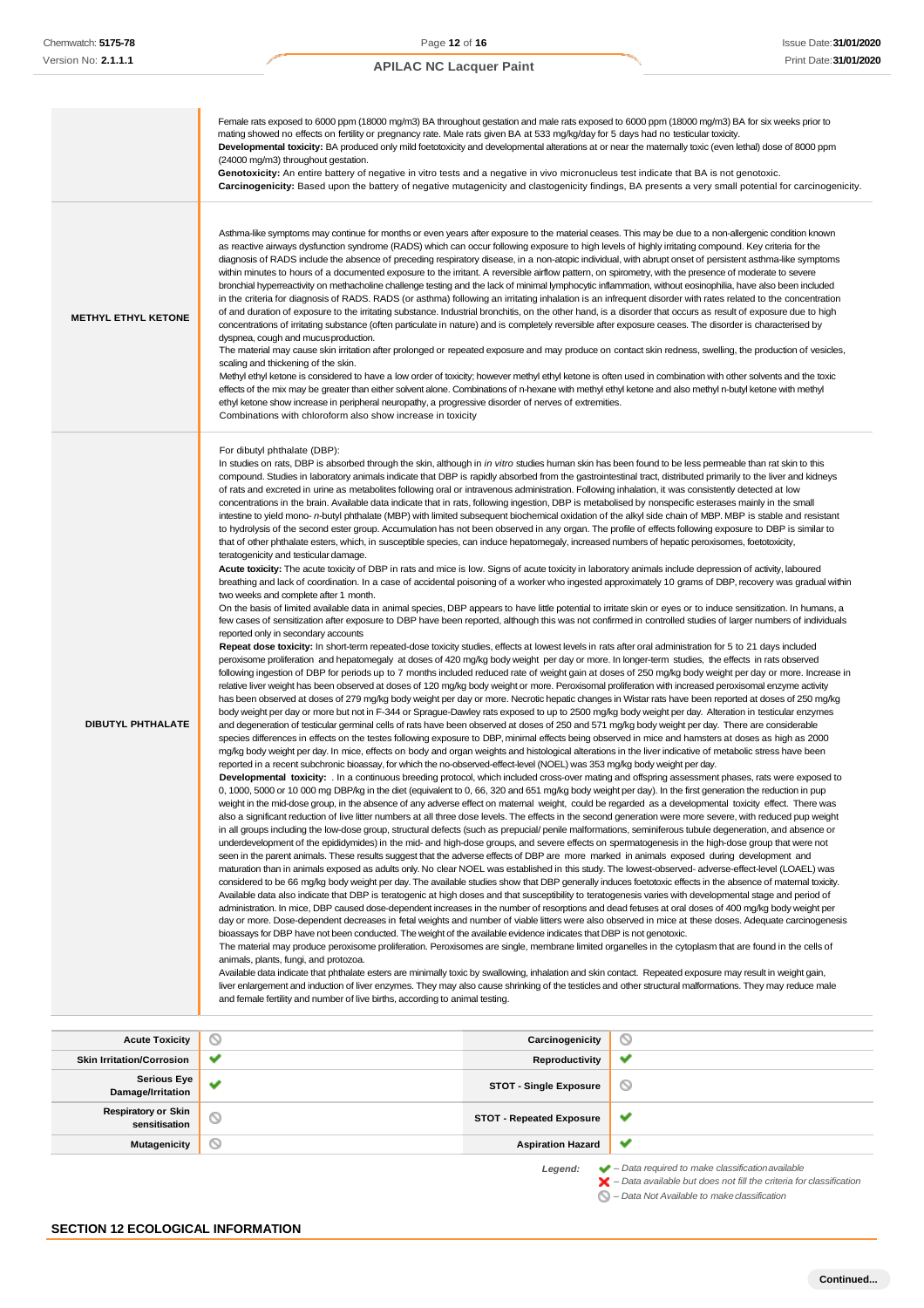|                                                        | Female rats exposed to 6000 ppm (18000 mg/m3) BA throughout gestation and male rats exposed to 6000 ppm (18000 mg/m3) BA for six weeks prior to                                                                                                                                                                                                                                                                                                                                                                                                                                                                                                                                                                                                                                                                                                                                                                                                                                                                                                                                                                                                                                                                                                                                                                                                                                                                                                                                                                                                                                                                                                                                                                                                                                                                                                                                                                                                                                                                                                                                                                                                                                                                                                                                                                                                                                                                                                                                                                                                                                                                                                                                                                                                                                                                                                                                                                                                                                                                                                                                                                                                                                                                                                                                                                                                                                                                                                                                                                                                                                                                                                                                                                                                                                                                                                                                                                                                                                                                                                                                                                                                                                                                                                                                                                                                                                                                                                                                                                                                                                                                                                                                                                                                                                                                                                                                                                                                                                                                                                                                                                                                                                                                                                                                                                                                                                                                                                                                                                                                                                                                                                                                                                                                                                                                                                                                                                                                                                                                                                                                                                                                                                      |                                 |                                                                                                                                                       |
|--------------------------------------------------------|--------------------------------------------------------------------------------------------------------------------------------------------------------------------------------------------------------------------------------------------------------------------------------------------------------------------------------------------------------------------------------------------------------------------------------------------------------------------------------------------------------------------------------------------------------------------------------------------------------------------------------------------------------------------------------------------------------------------------------------------------------------------------------------------------------------------------------------------------------------------------------------------------------------------------------------------------------------------------------------------------------------------------------------------------------------------------------------------------------------------------------------------------------------------------------------------------------------------------------------------------------------------------------------------------------------------------------------------------------------------------------------------------------------------------------------------------------------------------------------------------------------------------------------------------------------------------------------------------------------------------------------------------------------------------------------------------------------------------------------------------------------------------------------------------------------------------------------------------------------------------------------------------------------------------------------------------------------------------------------------------------------------------------------------------------------------------------------------------------------------------------------------------------------------------------------------------------------------------------------------------------------------------------------------------------------------------------------------------------------------------------------------------------------------------------------------------------------------------------------------------------------------------------------------------------------------------------------------------------------------------------------------------------------------------------------------------------------------------------------------------------------------------------------------------------------------------------------------------------------------------------------------------------------------------------------------------------------------------------------------------------------------------------------------------------------------------------------------------------------------------------------------------------------------------------------------------------------------------------------------------------------------------------------------------------------------------------------------------------------------------------------------------------------------------------------------------------------------------------------------------------------------------------------------------------------------------------------------------------------------------------------------------------------------------------------------------------------------------------------------------------------------------------------------------------------------------------------------------------------------------------------------------------------------------------------------------------------------------------------------------------------------------------------------------------------------------------------------------------------------------------------------------------------------------------------------------------------------------------------------------------------------------------------------------------------------------------------------------------------------------------------------------------------------------------------------------------------------------------------------------------------------------------------------------------------------------------------------------------------------------------------------------------------------------------------------------------------------------------------------------------------------------------------------------------------------------------------------------------------------------------------------------------------------------------------------------------------------------------------------------------------------------------------------------------------------------------------------------------------------------------------------------------------------------------------------------------------------------------------------------------------------------------------------------------------------------------------------------------------------------------------------------------------------------------------------------------------------------------------------------------------------------------------------------------------------------------------------------------------------------------------------------------------------------------------------------------------------------------------------------------------------------------------------------------------------------------------------------------------------------------------------------------------------------------------------------------------------------------------------------------------------------------------------------------------------------------------------------------------------------------------------------------------------------------------|---------------------------------|-------------------------------------------------------------------------------------------------------------------------------------------------------|
|                                                        | mating showed no effects on fertility or pregnancy rate. Male rats given BA at 533 mg/kg/day for 5 days had no testicular toxicity.<br>Developmental toxicity: BA produced only mild foetotoxicity and developmental alterations at or near the matemally toxic (even lethal) dose of 8000 ppm<br>(24000 mg/m3) throughout gestation.<br>Genotoxicity: An entire battery of negative in vitro tests and a negative in vivo micronucleus test indicate that BA is not genotoxic.                                                                                                                                                                                                                                                                                                                                                                                                                                                                                                                                                                                                                                                                                                                                                                                                                                                                                                                                                                                                                                                                                                                                                                                                                                                                                                                                                                                                                                                                                                                                                                                                                                                                                                                                                                                                                                                                                                                                                                                                                                                                                                                                                                                                                                                                                                                                                                                                                                                                                                                                                                                                                                                                                                                                                                                                                                                                                                                                                                                                                                                                                                                                                                                                                                                                                                                                                                                                                                                                                                                                                                                                                                                                                                                                                                                                                                                                                                                                                                                                                                                                                                                                                                                                                                                                                                                                                                                                                                                                                                                                                                                                                                                                                                                                                                                                                                                                                                                                                                                                                                                                                                                                                                                                                                                                                                                                                                                                                                                                                                                                                                                                                                                                                                      |                                 | Carcinogenicity: Based upon the battery of negative mutagenicity and clastogenicity findings, BA presents a very small potential for carcinogenicity. |
| <b>METHYL ETHYL KETONE</b>                             | Asthma-like symptoms may continue for months or even years after exposure to the material ceases. This may be due to a non-allergenic condition known<br>as reactive airways dysfunction syndrome (RADS) which can occur following exposure to high levels of highly irritating compound. Key criteria for the<br>diagnosis of RADS include the absence of preceding respiratory disease, in a non-atopic individual, with abrupt onset of persistent asthma-like symptoms<br>within minutes to hours of a documented exposure to the irritant. A reversible airflow pattern, on spirometry, with the presence of moderate to severe<br>bronchial hyperreactivity on methacholine challenge testing and the lack of minimal lymphocytic inflammation, without eosinophilia, have also been included<br>in the criteria for diagnosis of RADS. RADS (or asthma) following an irritating inhalation is an infrequent disorder with rates related to the concentration<br>of and duration of exposure to the irritating substance. Industrial bronchitis, on the other hand, is a disorder that occurs as result of exposure due to high<br>concentrations of irritating substance (often particulate in nature) and is completely reversible after exposure ceases. The disorder is characterised by<br>dyspnea, cough and mucus production.<br>The material may cause skin irritation after prolonged or repeated exposure and may produce on contact skin redness, swelling, the production of vesicles,<br>scaling and thickening of the skin.<br>Methyl ethyl ketone is considered to have a low order of toxicity; however methyl ethyl ketone is often used in combination with other solvents and the toxic<br>effects of the mix may be greater than either solvent alone. Combinations of n-hexane with methyl ethyl ketone and also methyl n-butyl ketone with methyl<br>ethyl ketone show increase in peripheral neuropathy, a progressive disorder of nerves of extremities.<br>Combinations with chloroform also show increase in toxicity                                                                                                                                                                                                                                                                                                                                                                                                                                                                                                                                                                                                                                                                                                                                                                                                                                                                                                                                                                                                                                                                                                                                                                                                                                                                                                                                                                                                                                                                                                                                                                                                                                                                                                                                                                                                                                                                                                                                                                                                                                                                                                                                                                                                                                                                                                                                                                                                                                                                                                                                                                                                                                                                                                                                                                                                                                                                                                                                                                                                                                                                                                                                                                                                                                                                                                                                                                                                                                                                                                                                                                                                                                                                                                                                                                                                                                                                                                                                                                                                                                                                                                                                |                                 |                                                                                                                                                       |
| <b>DIBUTYL PHTHALATE</b>                               | For dibutyl phthalate (DBP):<br>In studies on rats, DBP is absorbed through the skin, although in <i>in vitro</i> studies human skin has been found to be less permeable than rat skin to this<br>compound. Studies in laboratory animals indicate that DBP is rapidly absorbed from the gastrointestinal tract, distributed primarily to the liver and kidneys<br>of rats and excreted in urine as metabolites following oral or intravenous administration. Following inhalation, it was consistently detected at low<br>concentrations in the brain. Available data indicate that in rats, following ingestion, DBP is metabolised by nonspecific esterases mainly in the small<br>intestine to yield mono- n-butyl phthalate (MBP) with limited subsequent biochemical oxidation of the alkyl side chain of MBP. MBP is stable and resistant<br>to hydrolysis of the second ester group. Accumulation has not been observed in any organ. The profile of effects following exposure to DBP is similar to<br>that of other phthalate esters, which, in susceptible species, can induce hepatomegaly, increased numbers of hepatic peroxisomes, foetotoxicity,<br>teratogenicity and testicular damage.<br>Acute toxicity: The acute toxicity of DBP in rats and mice is low. Signs of acute toxicity in laboratory animals include depression of activity, laboured<br>breathing and lack of coordination. In a case of accidental poisoning of a worker who ingested approximately 10 grams of DBP, recovery was gradual within<br>two weeks and complete after 1 month.<br>On the basis of limited available data in animal species, DBP appears to have little potential to irritate skin or eyes or to induce sensitization. In humans, a<br>few cases of sensitization after exposure to DBP have been reported, although this was not confirmed in controlled studies of larger numbers of individuals<br>reported only in secondary accounts<br>Repeat dose toxicity: In short-term repeated-dose toxicity studies, effects at lowest levels in rats after oral administration for 5 to 21 days included<br>peroxisome proliferation and hepatomegaly at doses of 420 mg/kg body weight per day or more. In longer-term studies, the effects in rats observed<br>following ingestion of DBP for periods up to 7 months included reduced rate of weight gain at doses of 250 mg/kg body weight per day or more. Increase in<br>relative liver weight has been observed at doses of 120 mg/kg body weight or more. Peroxisomal proliferation with increased peroxisomal enzyme activity<br>has been observed at doses of 279 mg/kg body weight per day or more. Necrotic hepatic changes in Wistar rats have been reported at doses of 250 mg/kg<br>body weight per day or more but not in F-344 or Sprague-Dawley rats exposed to up to 2500 mg/kg body weight per day. Alteration in testicular enzymes<br>and degeneration of testicular germinal cells of rats have been observed at doses of 250 and 571 mg/kg body weight per day. There are considerable<br>species differences in effects on the testes following exposure to DBP, minimal effects being observed in mice and hamsters at doses as high as 2000<br>mg/kg body weight per day. In mice, effects on body and organ weights and histological alterations in the liver indicative of metabolic stress have been<br>reported in a recent subchronic bioassay, for which the no-observed-effect-level (NOEL) was 353 mg/kg body weight per day.<br>Developmental toxicity: . In a continuous breeding protocol, which included cross-over mating and offspring assessment phases, rats were exposed to<br>0, 1000, 5000 or 10 000 mg DBP/kg in the diet (equivalent to 0, 66, 320 and 651 mg/kg body weight per day). In the first generation the reduction in pup<br>weight in the mid-dose group, in the absence of any adverse effect on maternal weight, could be regarded as a developmental toxicity effect. There was<br>also a significant reduction of live litter numbers at all three dose levels. The effects in the second generation were more severe, with reduced pup weight<br>in all groups including the low-dose group, structural defects (such as prepucial/penile malformations, seminiferous tubule degeneration, and absence or<br>underdevelopment of the epididymides) in the mid- and high-dose groups, and severe effects on spermatogenesis in the high-dose group that were not<br>seen in the parent animals. These results suggest that the adverse effects of DBP are more marked in animals exposed during development and<br>maturation than in animals exposed as adults only. No clear NOEL was established in this study. The lowest-observed-adverse-effect-level (LOAEL) was<br>considered to be 66 mg/kg body weight per day. The available studies show that DBP generally induces foetotoxic effects in the absence of matemal toxicity.<br>Available data also indicate that DBP is teratogenic at high doses and that susceptibility to teratogenesis varies with developmental stage and period of<br>administration. In mice, DBP caused dose-dependent increases in the number of resorptions and dead fetuses at oral doses of 400 mg/kg body weight per<br>day or more. Dose-dependent decreases in fetal weights and number of viable litters were also observed in mice at these doses. Adequate carcinogenesis<br>bioassays for DBP have not been conducted. The weight of the available evidence indicates that DBP is not genotoxic.<br>The material may produce peroxisome proliferation. Peroxisomes are single, membrane limited organelles in the cytoplasm that are found in the cells of<br>animals, plants, fungi, and protozoa.<br>Available data indicate that phthalate esters are minimally toxic by swallowing, inhalation and skin contact. Repeated exposure may result in weight gain,<br>liver enlargement and induction of liver enzymes. They may also cause shrinking of the testicles and other structural malformations. They may reduce male<br>and female fertility and number of live births, according to animal testing. |                                 |                                                                                                                                                       |
|                                                        |                                                                                                                                                                                                                                                                                                                                                                                                                                                                                                                                                                                                                                                                                                                                                                                                                                                                                                                                                                                                                                                                                                                                                                                                                                                                                                                                                                                                                                                                                                                                                                                                                                                                                                                                                                                                                                                                                                                                                                                                                                                                                                                                                                                                                                                                                                                                                                                                                                                                                                                                                                                                                                                                                                                                                                                                                                                                                                                                                                                                                                                                                                                                                                                                                                                                                                                                                                                                                                                                                                                                                                                                                                                                                                                                                                                                                                                                                                                                                                                                                                                                                                                                                                                                                                                                                                                                                                                                                                                                                                                                                                                                                                                                                                                                                                                                                                                                                                                                                                                                                                                                                                                                                                                                                                                                                                                                                                                                                                                                                                                                                                                                                                                                                                                                                                                                                                                                                                                                                                                                                                                                                                                                                                                      |                                 |                                                                                                                                                       |
| <b>Acute Toxicity</b>                                  | O<br>v                                                                                                                                                                                                                                                                                                                                                                                                                                                                                                                                                                                                                                                                                                                                                                                                                                                                                                                                                                                                                                                                                                                                                                                                                                                                                                                                                                                                                                                                                                                                                                                                                                                                                                                                                                                                                                                                                                                                                                                                                                                                                                                                                                                                                                                                                                                                                                                                                                                                                                                                                                                                                                                                                                                                                                                                                                                                                                                                                                                                                                                                                                                                                                                                                                                                                                                                                                                                                                                                                                                                                                                                                                                                                                                                                                                                                                                                                                                                                                                                                                                                                                                                                                                                                                                                                                                                                                                                                                                                                                                                                                                                                                                                                                                                                                                                                                                                                                                                                                                                                                                                                                                                                                                                                                                                                                                                                                                                                                                                                                                                                                                                                                                                                                                                                                                                                                                                                                                                                                                                                                                                                                                                                                               | Carcinogenicity                 | O<br>✔                                                                                                                                                |
| <b>Skin Irritation/Corrosion</b><br><b>Serious Eye</b> |                                                                                                                                                                                                                                                                                                                                                                                                                                                                                                                                                                                                                                                                                                                                                                                                                                                                                                                                                                                                                                                                                                                                                                                                                                                                                                                                                                                                                                                                                                                                                                                                                                                                                                                                                                                                                                                                                                                                                                                                                                                                                                                                                                                                                                                                                                                                                                                                                                                                                                                                                                                                                                                                                                                                                                                                                                                                                                                                                                                                                                                                                                                                                                                                                                                                                                                                                                                                                                                                                                                                                                                                                                                                                                                                                                                                                                                                                                                                                                                                                                                                                                                                                                                                                                                                                                                                                                                                                                                                                                                                                                                                                                                                                                                                                                                                                                                                                                                                                                                                                                                                                                                                                                                                                                                                                                                                                                                                                                                                                                                                                                                                                                                                                                                                                                                                                                                                                                                                                                                                                                                                                                                                                                                      | Reproductivity                  |                                                                                                                                                       |
| Damage/Irritation                                      | v                                                                                                                                                                                                                                                                                                                                                                                                                                                                                                                                                                                                                                                                                                                                                                                                                                                                                                                                                                                                                                                                                                                                                                                                                                                                                                                                                                                                                                                                                                                                                                                                                                                                                                                                                                                                                                                                                                                                                                                                                                                                                                                                                                                                                                                                                                                                                                                                                                                                                                                                                                                                                                                                                                                                                                                                                                                                                                                                                                                                                                                                                                                                                                                                                                                                                                                                                                                                                                                                                                                                                                                                                                                                                                                                                                                                                                                                                                                                                                                                                                                                                                                                                                                                                                                                                                                                                                                                                                                                                                                                                                                                                                                                                                                                                                                                                                                                                                                                                                                                                                                                                                                                                                                                                                                                                                                                                                                                                                                                                                                                                                                                                                                                                                                                                                                                                                                                                                                                                                                                                                                                                                                                                                                    | <b>STOT - Single Exposure</b>   | ◎                                                                                                                                                     |
| <b>Respiratory or Skin</b><br>sensitisation            | ல                                                                                                                                                                                                                                                                                                                                                                                                                                                                                                                                                                                                                                                                                                                                                                                                                                                                                                                                                                                                                                                                                                                                                                                                                                                                                                                                                                                                                                                                                                                                                                                                                                                                                                                                                                                                                                                                                                                                                                                                                                                                                                                                                                                                                                                                                                                                                                                                                                                                                                                                                                                                                                                                                                                                                                                                                                                                                                                                                                                                                                                                                                                                                                                                                                                                                                                                                                                                                                                                                                                                                                                                                                                                                                                                                                                                                                                                                                                                                                                                                                                                                                                                                                                                                                                                                                                                                                                                                                                                                                                                                                                                                                                                                                                                                                                                                                                                                                                                                                                                                                                                                                                                                                                                                                                                                                                                                                                                                                                                                                                                                                                                                                                                                                                                                                                                                                                                                                                                                                                                                                                                                                                                                                                    | <b>STOT - Repeated Exposure</b> | ✔                                                                                                                                                     |

**Mutagenicity Aspiration Hazard** 

 $\checkmark$  $\checkmark$ 

*Legend: – Data required to make classificationavailable*

*– Data available but does not fill the criteria for classification – Data Not Available to makeclassification*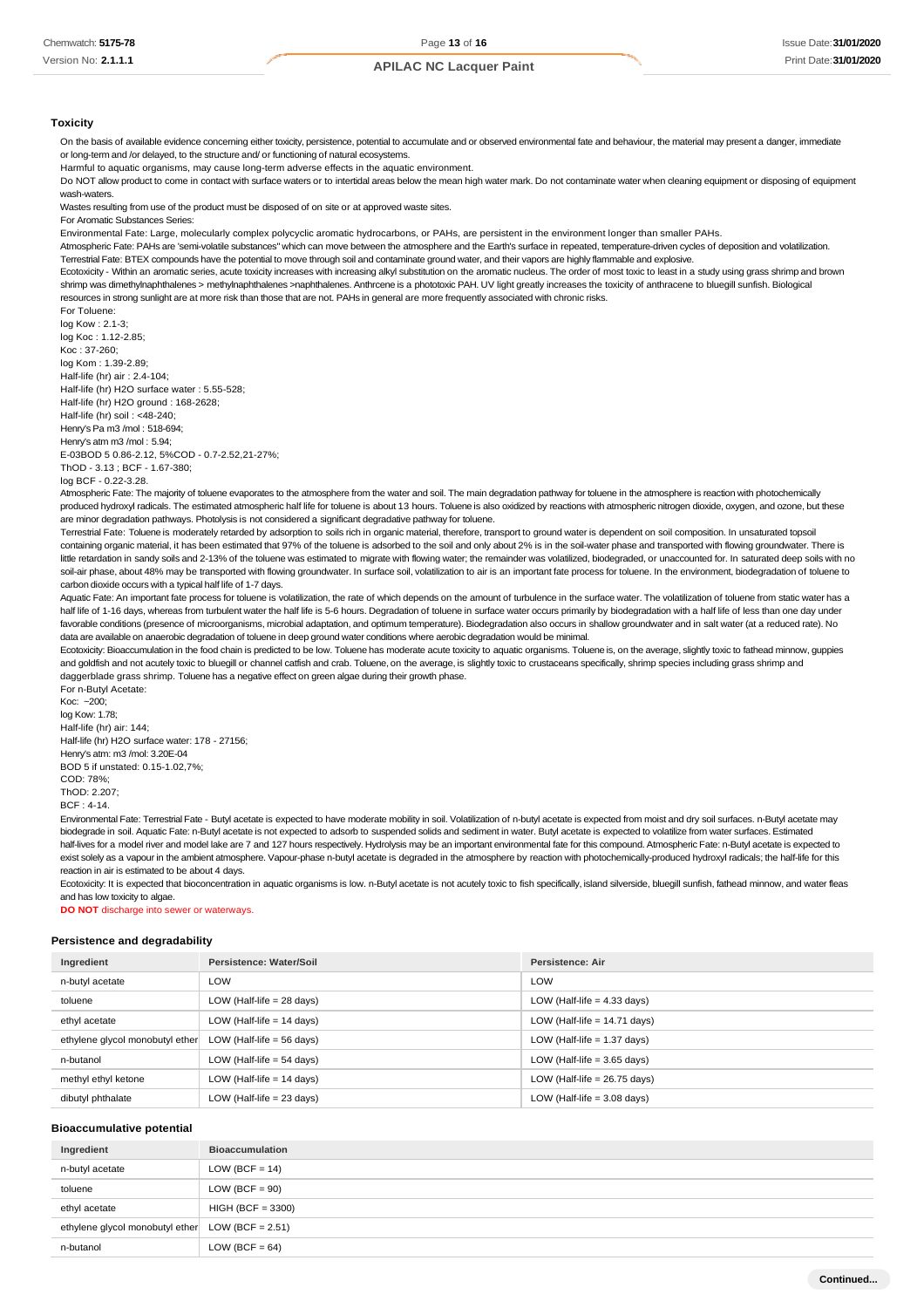#### **Toxicity**

On the basis of available evidence concerning either toxicity, persistence, potential to accumulate and or observed environmental fate and behaviour, the material may present a danger, immediate or long-term and /or delayed, to the structure and/ or functioning of natural ecosystems.

Harmful to aquatic organisms, may cause long-term adverse effects in the aquatic environment.

Do NOT allow product to come in contact with surface waters or to intertidal areas below the mean high water mark. Do not contaminate water when cleaning equipment or disposing of equipment wash-waters.

Wastes resulting from use of the product must be disposed of on site or at approved waste sites.

For Aromatic Substances Series:

Environmental Fate: Large, molecularly complex polycyclic aromatic hydrocarbons, or PAHs, are persistent in the environment longer than smaller PAHs.

Atmospheric Fate: PAHs are 'semi-volatile substances" which can move between the atmosphere and the Earth's surface in repeated, temperature-driven cycles of deposition and volatilization.

Terrestrial Fate: BTEX compounds have the potential to move through soil and contaminate ground water, and their vapors are highly flammable and explosive.

Ecotoxicity - Within an aromatic series, acute toxicity increases with increasing alkyl substitution on the aromatic nucleus. The order of most toxic to least in a study using grass shrimp and brown shrimp was dimethylnaphthalenes > methylnaphthalenes >naphthalenes. Anthrcene is a phototoxic PAH. UV light greatly increases the toxicity of anthracene to bluegill sunfish. Biological resources in strong sunlight are at more risk than those that are not. PAHs in general are more frequently associated with chronic risks.

For Toluene: log Kow : 2.1-3;

log Koc : 1.12-2.85; Koc : 37-260; log Kom : 1.39-2.89; Half-life (hr) air : 2.4-104; Half-life (hr) H2O surface water : 5.55-528; Half-life (hr) H2O ground : 168-2628; Half-life (hr) soil : <48-240; Henry's Pa m3 /mol : 518-694; Henry's atm m3 /mol : 5.94; E-03BOD 5 0.86-2.12, 5%COD - 0.7-2.52,21-27%; ThOD - 3.13 ; BCF - 1.67-380;

log BCF - 0.22-3.28.

Atmospheric Fate: The majority of toluene evaporates to the atmosphere from the water and soil. The main degradation pathway for toluene in the atmosphere is reaction with photochemically produced hydroxyl radicals. The estimated atmospheric half life for toluene is about 13 hours. Toluene is also oxidized by reactions with atmospheric nitrogen dioxide, oxygen, and ozone, but these are minor degradation pathways. Photolysis is not considered a significant degradative pathway for toluene.

Terrestrial Fate: Toluene is moderately retarded by adsorption to soils rich in organic material, therefore, transport to ground water is dependent on soil composition. In unsaturated topsoil containing organic material, it has been estimated that 97% of the toluene is adsorbed to the soil and only about 2% is in the soil-water phase and transported with flowing groundwater. There is little retardation in sandy soils and 2-13% of the toluene was estimated to migrate with flowing water; the remainder was volatilized, biodegraded, or unaccounted for. In saturated deep soils with no soil-air phase, about 48% may be transported with flowing groundwater. In surface soil, volatilization to air is an important fate process for toluene. In the environment, biodegradation of toluene to carbon dioxide occurs with a typical half life of 1-7 days.

Aquatic Fate: An important fate process for toluene is volatilization, the rate of which depends on the amount of turbulence in the surface water. The volatilization of toluene from static water has a half life of 1-16 days, whereas from turbulent water the half life is 5-6 hours. Degradation of toluene in surface water occurs primarily by biodegradation with a half life of less than one day under favorable conditions (presence of microorganisms, microbial adaptation, and optimum temperature). Biodegradation also occurs in shallow groundwater and in salt water (at a reduced rate). No data are available on anaerobic degradation of toluene in deep ground water conditions where aerobic degradation would be minimal.

Ecotoxicity: Bioaccumulation in the food chain is predicted to be low. Toluene has moderate acute toxicity to aquatic organisms. Toluene is, on the average, slightly toxic to fathead minnow, guppies and goldfish and not acutely toxic to bluegill or channel catfish and crab. Toluene, on the average, is slightly toxic to crustaceans specifically, shrimp species including grass shrimp and daggerblade grass shrimp. Toluene has a negative effect on green algae during their growth phase. For n-Butyl Acetate:

Koc: ~200; log Kow: 1.78; Half-life (hr) air: 144; Half-life (hr) H2O surface water: 178 - 27156; Henry's atm: m3 /mol: 3.20E-04 BOD 5 if unstated: 0.15-1.02,7%; COD: 78%;  $ThOP: 2.207$ BCF : 4-14.

Environmental Fate: Terrestrial Fate - Butyl acetate is expected to have moderate mobility in soil. Volatilization of n-butyl acetate is expected from moist and dry soil surfaces. n-Butyl acetate may biodegrade in soil. Aquatic Fate: n-Butyl acetate is not expected to adsorb to suspended solids and sediment in water. Butyl acetate is expected to volatilize from water surfaces. Estimated half-lives for a model river and model lake are 7 and 127 hours respectively. Hydrolysis may be an important environmental fate for this compound. Atmospheric Fate: n-Butyl acetate is expected to exist solely as a vapour in the ambient atmosphere. Vapour-phase n-butyl acetate is degraded in the atmosphere by reaction with photochemically-produced hydroxyl radicals; the half-life for this reaction in air is estimated to be about 4 days.

Ecotoxicity: It is expected that bioconcentration in aquatic organisms is low. n-Butyl acetate is not acutely toxic to fish specifically, island silverside, bluegill sunfish, fathead minnow, and water fleas and has low toxicity to algae.

**DO NOT** discharge into sewer or waterways.

#### **Persistence and degradability**

| Ingredient                      | Persistence: Water/Soil     | <b>Persistence: Air</b>        |
|---------------------------------|-----------------------------|--------------------------------|
| n-butyl acetate                 | LOW                         | LOW                            |
| toluene                         | LOW (Half-life $= 28$ days) | LOW (Half-life $=$ 4.33 days)  |
| ethyl acetate                   | LOW (Half-life $= 14$ days) | LOW (Half-life $= 14.71$ days) |
| ethylene glycol monobutyl ether | LOW (Half-life $= 56$ days) | LOW (Half-life $= 1.37$ days)  |
| n-butanol                       | LOW (Half-life $= 54$ days) | LOW (Half-life $=$ 3.65 days)  |
| methyl ethyl ketone             | LOW (Half-life $= 14$ days) | LOW (Half-life $= 26.75$ days) |
| dibutyl phthalate               | LOW (Half-life $= 23$ days) | LOW (Half-life $=$ 3.08 days)  |

#### **Bioaccumulative potential**

| Ingredient                                         | <b>Bioaccumulation</b> |
|----------------------------------------------------|------------------------|
| n-butyl acetate                                    | LOW (BCF = $14$ )      |
| toluene                                            | $LOW (BCF = 90)$       |
| ethyl acetate                                      | $HIGH (BCF = 3300)$    |
| ethylene glycol monobutyl ether $LOW (BCF = 2.51)$ |                        |
| n-butanol                                          | LOW (BCF = $64$ )      |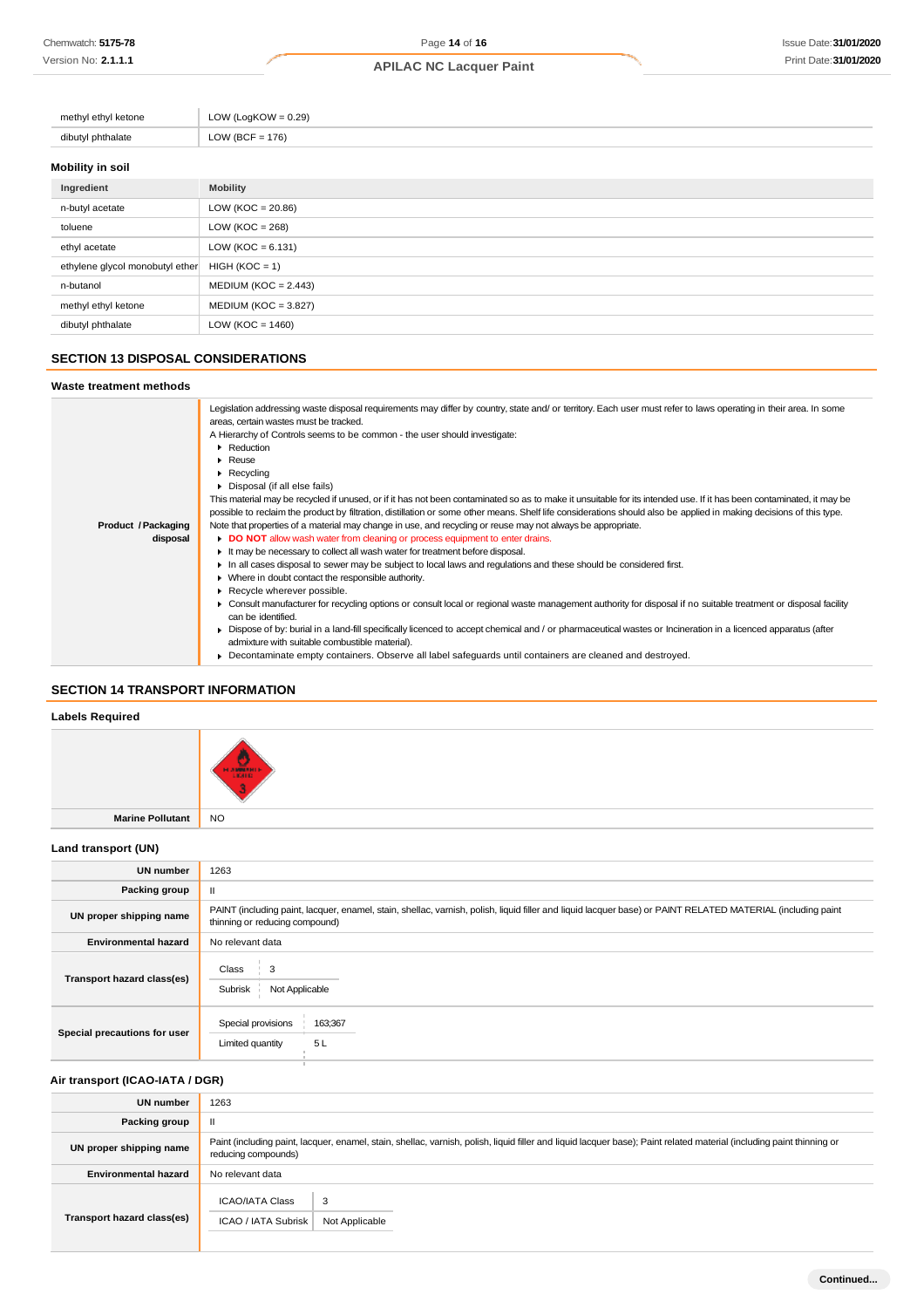| methyl ethyl ketone | LOW (LogKOW = $0.29$ ) |
|---------------------|------------------------|
| dibutyl phthalate   | LOW (BCF = $176$ )     |
|                     |                        |

# **Mobility in soil**

| Ingredient                      | <b>Mobility</b>        |
|---------------------------------|------------------------|
| n-butyl acetate                 | LOW ( $KOC = 20.86$ )  |
| toluene                         | LOW ( $KOC = 268$ )    |
| ethyl acetate                   | LOW ( $KOC = 6.131$ )  |
| ethylene glycol monobutyl ether | $HIGH (KOC = 1)$       |
| n-butanol                       | $MEDIUM (KOC = 2.443)$ |
| methyl ethyl ketone             | $MEDIUM (KOC = 3.827)$ |
| dibutyl phthalate               | LOW ( $KOC = 1460$ )   |

### **SECTION 13 DISPOSAL CONSIDERATIONS**

#### **Waste treatment methods**

|                                                                              | Legislation addressing waste disposal requirements may differ by country, state and/ or territory. Each user must refer to laws operating in their area. In some<br>areas, certain wastes must be tracked. |  |  |                                                                                                                                                                      |
|------------------------------------------------------------------------------|------------------------------------------------------------------------------------------------------------------------------------------------------------------------------------------------------------|--|--|----------------------------------------------------------------------------------------------------------------------------------------------------------------------|
|                                                                              | A Hierarchy of Controls seems to be common - the user should investigate:                                                                                                                                  |  |  |                                                                                                                                                                      |
| Reduction<br>$\blacktriangleright$ Reuse<br>$\triangleright$ Recycling       |                                                                                                                                                                                                            |  |  |                                                                                                                                                                      |
|                                                                              |                                                                                                                                                                                                            |  |  | Disposal (if all else fails)                                                                                                                                         |
|                                                                              |                                                                                                                                                                                                            |  |  | This material may be recycled if unused, or if it has not been contaminated so as to make it unsuitable for its intended use. If it has been contaminated, it may be |
|                                                                              | possible to reclaim the product by filtration, distillation or some other means. Shelf life considerations should also be applied in making decisions of this type.                                        |  |  |                                                                                                                                                                      |
| Product / Packaging                                                          | Note that properties of a material may change in use, and recycling or reuse may not always be appropriate.                                                                                                |  |  |                                                                                                                                                                      |
| disposal                                                                     | DO NOT allow wash water from cleaning or process equipment to enter drains.                                                                                                                                |  |  |                                                                                                                                                                      |
| It may be necessary to collect all wash water for treatment before disposal. |                                                                                                                                                                                                            |  |  |                                                                                                                                                                      |
|                                                                              | In all cases disposal to sewer may be subject to local laws and regulations and these should be considered first.                                                                                          |  |  |                                                                                                                                                                      |
|                                                                              | • Where in doubt contact the responsible authority.                                                                                                                                                        |  |  |                                                                                                                                                                      |
|                                                                              | Recycle wherever possible.                                                                                                                                                                                 |  |  |                                                                                                                                                                      |
|                                                                              | ► Consult manufacturer for recycling options or consult local or regional waste management authority for disposal if no suitable treatment or disposal facility                                            |  |  |                                                                                                                                                                      |
|                                                                              | can be identified.                                                                                                                                                                                         |  |  |                                                                                                                                                                      |
|                                                                              | ► Dispose of by: burial in a land-fill specifically licenced to accept chemical and / or pharmaceutical wastes or Incineration in a licenced apparatus (after                                              |  |  |                                                                                                                                                                      |
|                                                                              | admixture with suitable combustible material).                                                                                                                                                             |  |  |                                                                                                                                                                      |
|                                                                              | • Decontaminate empty containers. Observe all label safeguards until containers are cleaned and destroyed.                                                                                                 |  |  |                                                                                                                                                                      |

### **SECTION 14 TRANSPORT INFORMATION**

## **Labels Required**

| Lancis Incidition   |                      |
|---------------------|----------------------|
|                     | LИ<br><b>HAMILIE</b> |
| Marine Pollutant NO |                      |

### **Land transport (UN)**

| <b>UN number</b>             | 1263                                                                                                                                                                                          |  |
|------------------------------|-----------------------------------------------------------------------------------------------------------------------------------------------------------------------------------------------|--|
| Packing group                |                                                                                                                                                                                               |  |
| UN proper shipping name      | PAINT (including paint, lacquer, enamel, stain, shellac, varnish, polish, liquid filler and liquid lacquer base) or PAINT RELATED MATERIAL (including paint<br>thinning or reducing compound) |  |
| <b>Environmental hazard</b>  | No relevant data                                                                                                                                                                              |  |
| Transport hazard class(es)   | Class<br>3<br>Subrisk<br>Not Applicable                                                                                                                                                       |  |
| Special precautions for user | Special provisions<br>163;367<br>5L<br>Limited quantity                                                                                                                                       |  |

### **Air transport (ICAO-IATA / DGR)**

| <b>UN number</b>            | 1263                                                                                                                                                                                         |  |
|-----------------------------|----------------------------------------------------------------------------------------------------------------------------------------------------------------------------------------------|--|
| Packing group               |                                                                                                                                                                                              |  |
| UN proper shipping name     | Paint (including paint, lacquer, enamel, stain, shellac, varnish, polish, liquid filler and liquid lacquer base); Paint related material (including paint thinning or<br>reducing compounds) |  |
| <b>Environmental hazard</b> | No relevant data                                                                                                                                                                             |  |
| Transport hazard class(es)  | ICAO/IATA Class<br>3<br>ICAO / IATA Subrisk<br>Not Applicable                                                                                                                                |  |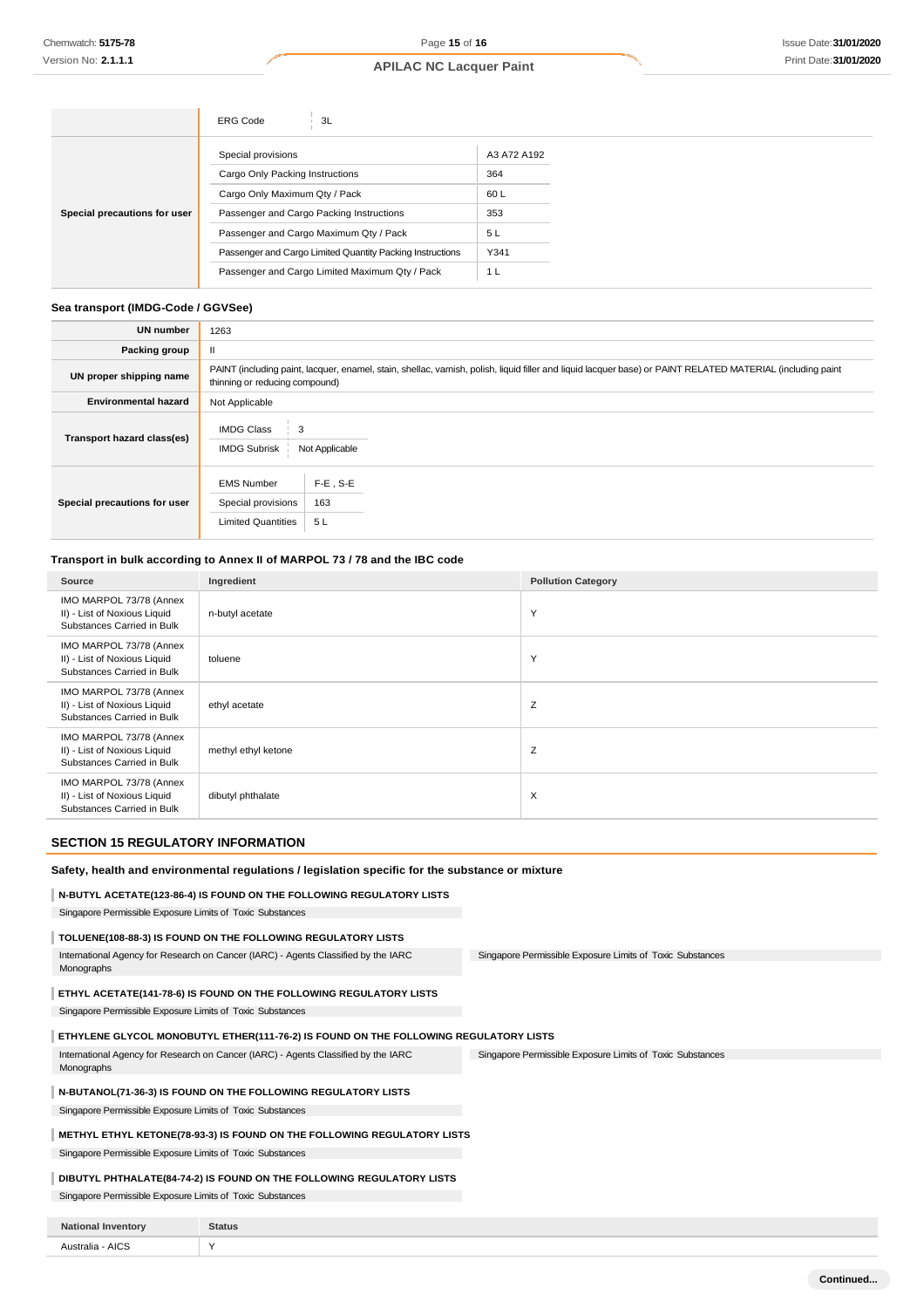|                              | 3L<br><b>ERG Code</b>                                     |             |
|------------------------------|-----------------------------------------------------------|-------------|
|                              | Special provisions                                        | A3 A72 A192 |
| Special precautions for user | Cargo Only Packing Instructions                           | 364         |
|                              | Cargo Only Maximum Qty / Pack                             | 60L         |
|                              | Passenger and Cargo Packing Instructions                  | 353         |
|                              | Passenger and Cargo Maximum Qty / Pack                    | 5L          |
|                              | Passenger and Cargo Limited Quantity Packing Instructions | Y341        |
|                              | Passenger and Cargo Limited Maximum Qty / Pack            | 1 L         |

#### **Sea transport (IMDG-Code / GGVSee)**

| <b>UN number</b>             | 1263                                                                                                                                                                                          |  |  |
|------------------------------|-----------------------------------------------------------------------------------------------------------------------------------------------------------------------------------------------|--|--|
| <b>Packing group</b>         |                                                                                                                                                                                               |  |  |
| UN proper shipping name      | PAINT (including paint, lacquer, enamel, stain, shellac, varnish, polish, liquid filler and liquid lacquer base) or PAINT RELATED MATERIAL (including paint<br>thinning or reducing compound) |  |  |
| <b>Environmental hazard</b>  | Not Applicable                                                                                                                                                                                |  |  |
| Transport hazard class(es)   | <b>IMDG Class</b><br><b>IMDG Subrisk</b><br>Not Applicable                                                                                                                                    |  |  |
| Special precautions for user | $F-E$ , S-E<br><b>EMS Number</b><br>163<br>Special provisions<br><b>Limited Quantities</b><br>5L                                                                                              |  |  |

# **Transport in bulk according to Annex II of MARPOL 73 / 78 and the IBC code**

| Source                                                                                | Ingredient          | <b>Pollution Category</b> |
|---------------------------------------------------------------------------------------|---------------------|---------------------------|
| IMO MARPOL 73/78 (Annex<br>II) - List of Noxious Liquid<br>Substances Carried in Bulk | n-butyl acetate     | Y                         |
| IMO MARPOL 73/78 (Annex<br>II) - List of Noxious Liquid<br>Substances Carried in Bulk | toluene             | Y                         |
| IMO MARPOL 73/78 (Annex<br>II) - List of Noxious Liquid<br>Substances Carried in Bulk | ethyl acetate       | Z                         |
| IMO MARPOL 73/78 (Annex<br>II) - List of Noxious Liquid<br>Substances Carried in Bulk | methyl ethyl ketone | Z                         |
| IMO MARPOL 73/78 (Annex<br>II) - List of Noxious Liquid<br>Substances Carried in Bulk | dibutyl phthalate   | $\times$                  |

### **SECTION 15 REGULATORY INFORMATION**

#### **Safety, health and environmental regulations / legislation specific for the substance or mixture**

### **N-BUTYL ACETATE(123-86-4) IS FOUND ON THE FOLLOWING REGULATORY LISTS**

Singapore Permissible Exposure Limits of Toxic Substances

### **TOLUENE(108-88-3) IS FOUND ON THE FOLLOWING REGULATORY LISTS**

Singapore Permissible Exposure Limits of Toxic Substances International Agency for Research on Cancer (IARC) - Agents Classified by the IARC Monographs

### **ETHYL ACETATE(141-78-6) IS FOUND ON THE FOLLOWING REGULATORY LISTS**

Singapore Permissible Exposure Limits of Toxic Substances

#### **ETHYLENE GLYCOL MONOBUTYL ETHER(111-76-2) IS FOUND ON THE FOLLOWING REGULATORY LISTS**

Singapore Permissible Exposure Limits of Toxic Substances International Agency for Research on Cancer (IARC) - Agents Classified by the IARC Monographs

### **N-BUTANOL(71-36-3) IS FOUND ON THE FOLLOWING REGULATORY LISTS**

Singapore Permissible Exposure Limits of Toxic Substances

### **METHYL ETHYL KETONE(78-93-3) IS FOUND ON THE FOLLOWING REGULATORY LISTS**

Singapore Permissible Exposure Limits of Toxic Substances

### **DIBUTYL PHTHALATE(84-74-2) IS FOUND ON THE FOLLOWING REGULATORY LISTS**

Singapore Permissible Exposure Limits of Toxic Substances

| <b>National</b><br><b>Inventory</b> | <b>Status</b> |
|-------------------------------------|---------------|
| Australia - AICS<br>$ -$            | $\lambda$     |